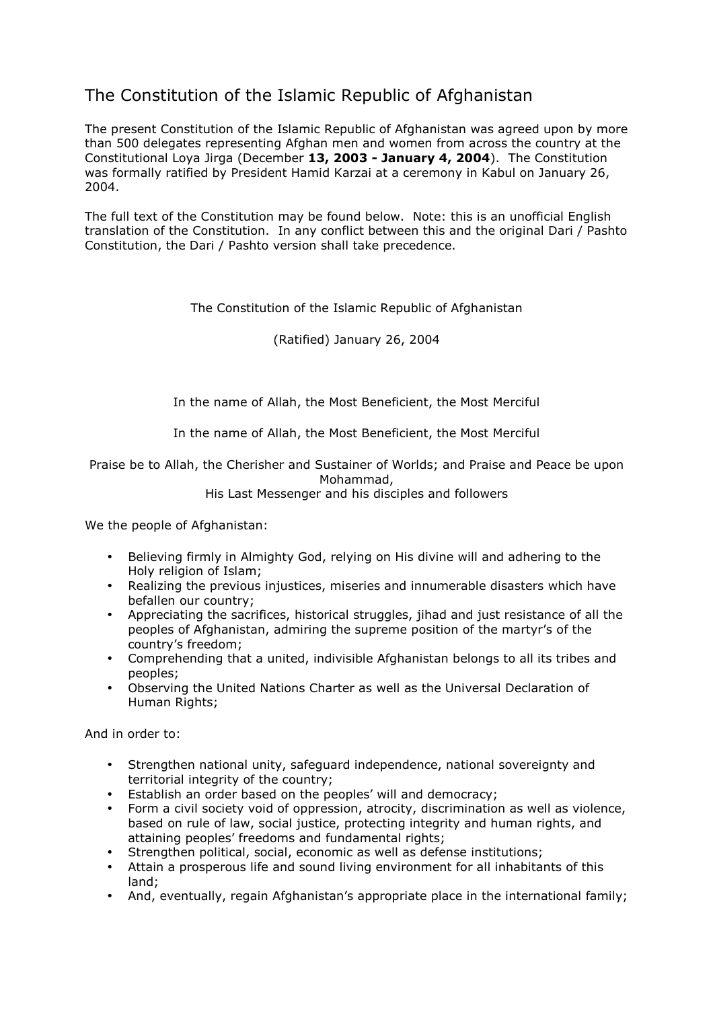# The Constitution of the Islamic Republic of Afghanistan

The present Constitution of the Islamic Republic of Afghanistan was agreed upon by more than 500 delegates representing Afghan men and women from across the country at the Constitutional Loya Jirga (December 13, 2003 - January 4, 2004). The Constitution was formally ratified by President Hamid Karzai at a ceremony in Kabul on January 26, 2004.

The full text of the Constitution may be found below. Note: this is an unofficial English translation of the Constitution. In any conflict between this and the original Dari / Pashto Constitution, the Dari / Pashto version shall take precedence.

# The Constitution of the Islamic Republic of Afghanistan

(Ratified) January 26, 2004

In the name of Allah, the Most Beneficient, the Most Merciful

In the name of Allah, the Most Beneficient, the Most Merciful

Praise be to Allah, the Cherisher and Sustainer of Worlds; and Praise and Peace be upon Mohammad,

His Last Messenger and his disciples and followers

We the people of Afghanistan:

- Believing firmly in Almighty God, relying on His divine will and adhering to the Holy religion of Islam;
- Realizing the previous injustices, miseries and innumerable disasters which have befallen our country;
- Appreciating the sacrifices, historical struggles, jihad and just resistance of all the peoples of Afghanistan, admiring the supreme position of the martyr's of the country's freedom;
- Comprehending that a united, indivisible Afghanistan belongs to all its tribes and peoples;
- Observing the United Nations Charter as well as the Universal Declaration of Human Rights;

And in order to:

- Strengthen national unity, safeguard independence, national sovereignty and territorial integrity of the country;
- Establish an order based on the peoples' will and democracy;
- Form a civil society void of oppression, atrocity, discrimination as well as violence, based on rule of law, social justice, protecting integrity and human rights, and attaining peoples' freedoms and fundamental rights;
- Strengthen political, social, economic as well as defense institutions;
- Attain a prosperous life and sound living environment for all inhabitants of this land;
- And, eventually, regain Afghanistan's appropriate place in the international family;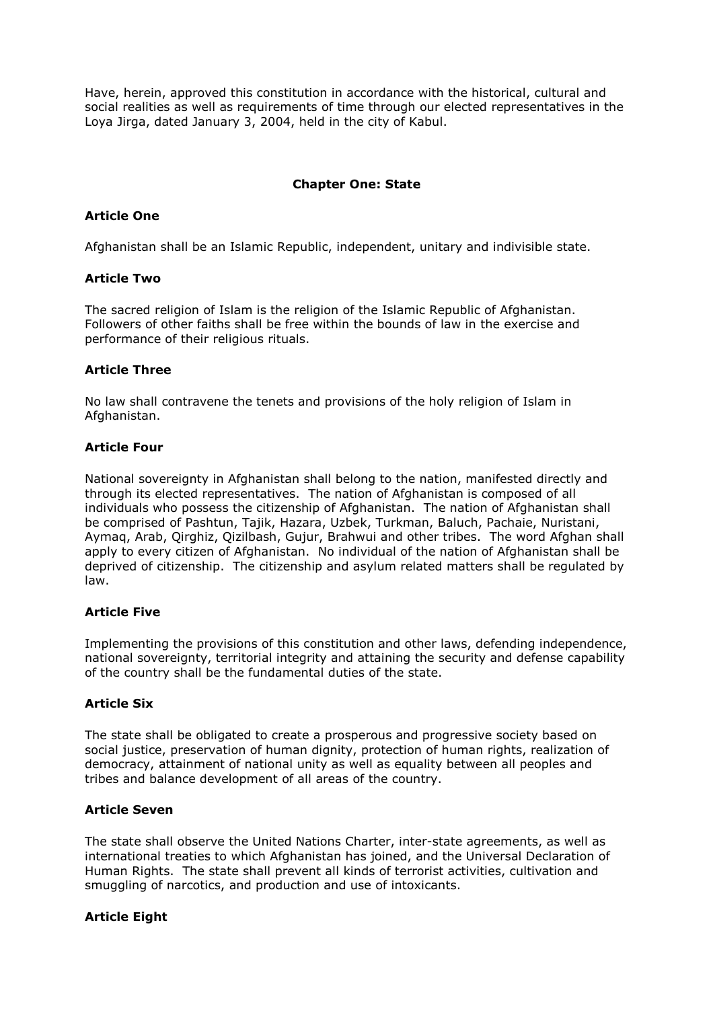Have, herein, approved this constitution in accordance with the historical, cultural and social realities as well as requirements of time through our elected representatives in the Loya Jirga, dated January 3, 2004, held in the city of Kabul.

### Chapter One: State

### Article One

Afghanistan shall be an Islamic Republic, independent, unitary and indivisible state.

### Article Two

The sacred religion of Islam is the religion of the Islamic Republic of Afghanistan. Followers of other faiths shall be free within the bounds of law in the exercise and performance of their religious rituals.

### Article Three

No law shall contravene the tenets and provisions of the holy religion of Islam in Afghanistan.

### Article Four

National sovereignty in Afghanistan shall belong to the nation, manifested directly and through its elected representatives. The nation of Afghanistan is composed of all individuals who possess the citizenship of Afghanistan. The nation of Afghanistan shall be comprised of Pashtun, Tajik, Hazara, Uzbek, Turkman, Baluch, Pachaie, Nuristani, Aymaq, Arab, Qirghiz, Qizilbash, Gujur, Brahwui and other tribes. The word Afghan shall apply to every citizen of Afghanistan. No individual of the nation of Afghanistan shall be deprived of citizenship. The citizenship and asylum related matters shall be regulated by law.

### Article Five

Implementing the provisions of this constitution and other laws, defending independence, national sovereignty, territorial integrity and attaining the security and defense capability of the country shall be the fundamental duties of the state.

# Article Six

The state shall be obligated to create a prosperous and progressive society based on social justice, preservation of human dignity, protection of human rights, realization of democracy, attainment of national unity as well as equality between all peoples and tribes and balance development of all areas of the country.

### Article Seven

The state shall observe the United Nations Charter, inter-state agreements, as well as international treaties to which Afghanistan has joined, and the Universal Declaration of Human Rights. The state shall prevent all kinds of terrorist activities, cultivation and smuggling of narcotics, and production and use of intoxicants.

# Article Eight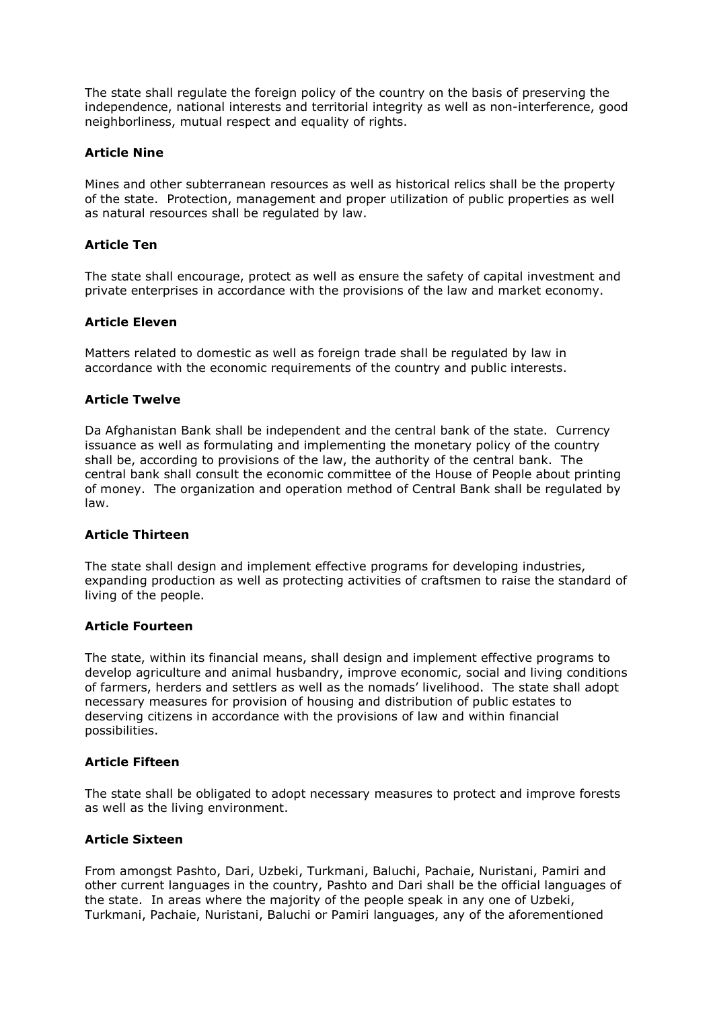The state shall regulate the foreign policy of the country on the basis of preserving the independence, national interests and territorial integrity as well as non-interference, good neighborliness, mutual respect and equality of rights.

# Article Nine

Mines and other subterranean resources as well as historical relics shall be the property of the state. Protection, management and proper utilization of public properties as well as natural resources shall be regulated by law.

# Article Ten

The state shall encourage, protect as well as ensure the safety of capital investment and private enterprises in accordance with the provisions of the law and market economy.

### Article Eleven

Matters related to domestic as well as foreign trade shall be regulated by law in accordance with the economic requirements of the country and public interests.

### Article Twelve

Da Afghanistan Bank shall be independent and the central bank of the state. Currency issuance as well as formulating and implementing the monetary policy of the country shall be, according to provisions of the law, the authority of the central bank. The central bank shall consult the economic committee of the House of People about printing of money. The organization and operation method of Central Bank shall be regulated by law.

### Article Thirteen

The state shall design and implement effective programs for developing industries, expanding production as well as protecting activities of craftsmen to raise the standard of living of the people.

### Article Fourteen

The state, within its financial means, shall design and implement effective programs to develop agriculture and animal husbandry, improve economic, social and living conditions of farmers, herders and settlers as well as the nomads' livelihood. The state shall adopt necessary measures for provision of housing and distribution of public estates to deserving citizens in accordance with the provisions of law and within financial possibilities.

### Article Fifteen

The state shall be obligated to adopt necessary measures to protect and improve forests as well as the living environment.

# Article Sixteen

From amongst Pashto, Dari, Uzbeki, Turkmani, Baluchi, Pachaie, Nuristani, Pamiri and other current languages in the country, Pashto and Dari shall be the official languages of the state. In areas where the majority of the people speak in any one of Uzbeki, Turkmani, Pachaie, Nuristani, Baluchi or Pamiri languages, any of the aforementioned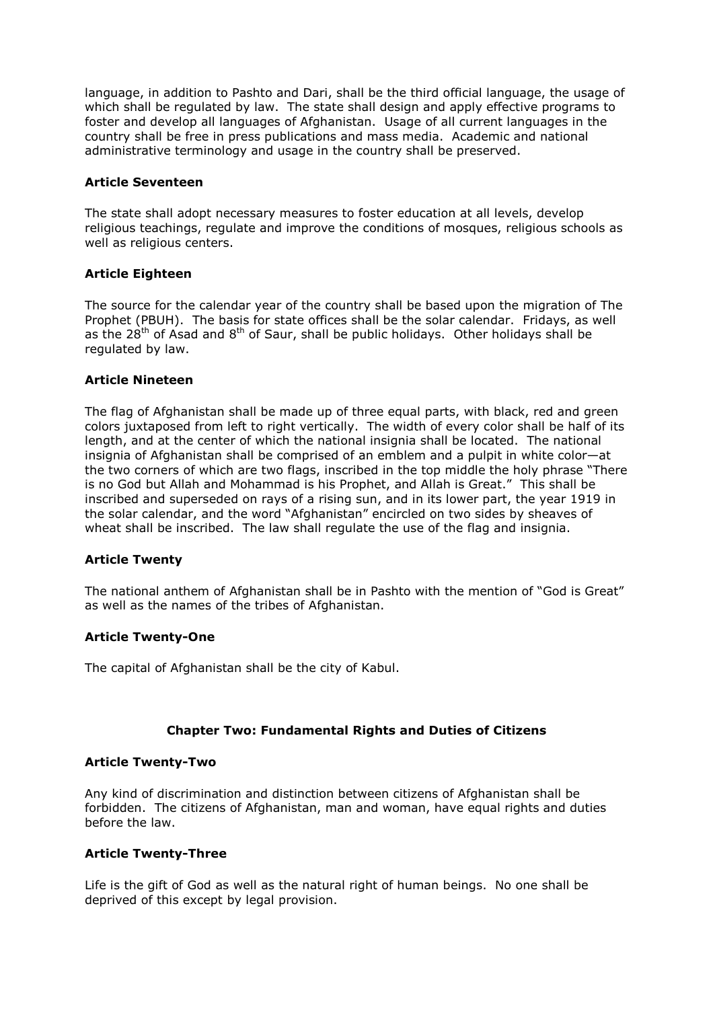language, in addition to Pashto and Dari, shall be the third official language, the usage of which shall be regulated by law. The state shall design and apply effective programs to foster and develop all languages of Afghanistan. Usage of all current languages in the country shall be free in press publications and mass media. Academic and national administrative terminology and usage in the country shall be preserved.

### Article Seventeen

The state shall adopt necessary measures to foster education at all levels, develop religious teachings, regulate and improve the conditions of mosques, religious schools as well as religious centers.

### Article Eighteen

The source for the calendar year of the country shall be based upon the migration of The Prophet (PBUH). The basis for state offices shall be the solar calendar. Fridays, as well as the  $28^{th}$  of Asad and  $8^{th}$  of Saur, shall be public holidays. Other holidays shall be regulated by law.

### Article Nineteen

The flag of Afghanistan shall be made up of three equal parts, with black, red and green colors juxtaposed from left to right vertically. The width of every color shall be half of its length, and at the center of which the national insignia shall be located. The national insignia of Afghanistan shall be comprised of an emblem and a pulpit in white color—at the two corners of which are two flags, inscribed in the top middle the holy phrase "There is no God but Allah and Mohammad is his Prophet, and Allah is Great." This shall be inscribed and superseded on rays of a rising sun, and in its lower part, the year 1919 in the solar calendar, and the word "Afghanistan" encircled on two sides by sheaves of wheat shall be inscribed. The law shall regulate the use of the flag and insignia.

# Article Twenty

The national anthem of Afghanistan shall be in Pashto with the mention of "God is Great" as well as the names of the tribes of Afghanistan.

### Article Twenty-One

The capital of Afghanistan shall be the city of Kabul.

# Chapter Two: Fundamental Rights and Duties of Citizens

### Article Twenty-Two

Any kind of discrimination and distinction between citizens of Afghanistan shall be forbidden. The citizens of Afghanistan, man and woman, have equal rights and duties before the law.

### Article Twenty-Three

Life is the gift of God as well as the natural right of human beings. No one shall be deprived of this except by legal provision.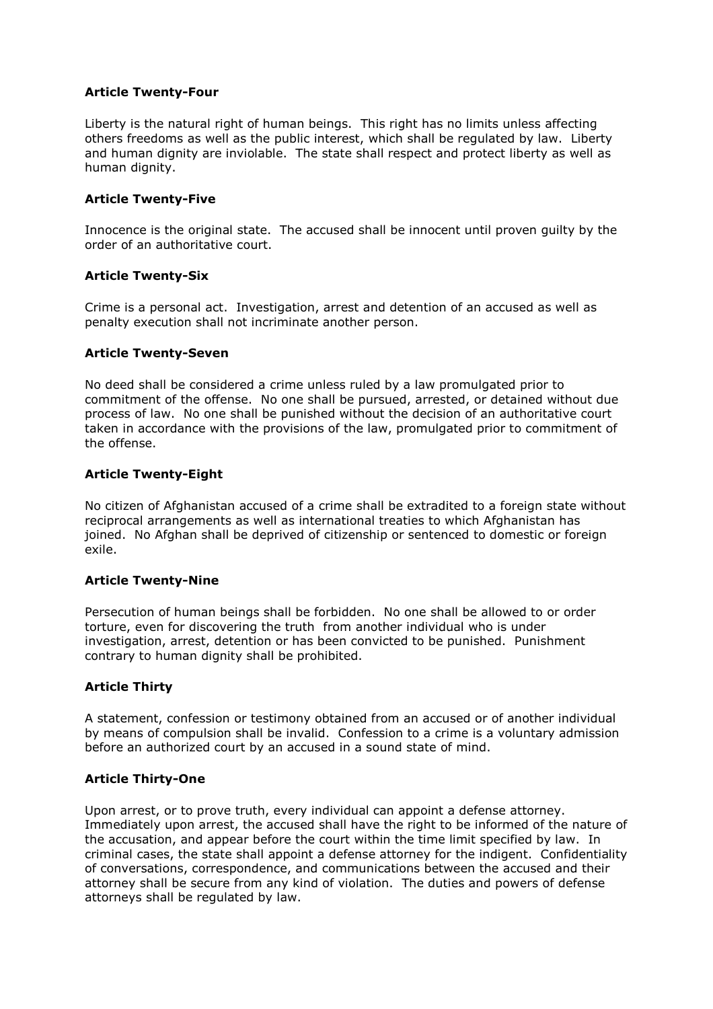### Article Twenty-Four

Liberty is the natural right of human beings. This right has no limits unless affecting others freedoms as well as the public interest, which shall be regulated by law. Liberty and human dignity are inviolable. The state shall respect and protect liberty as well as human dignity.

### Article Twenty-Five

Innocence is the original state. The accused shall be innocent until proven guilty by the order of an authoritative court.

### Article Twenty-Six

Crime is a personal act. Investigation, arrest and detention of an accused as well as penalty execution shall not incriminate another person.

### Article Twenty-Seven

No deed shall be considered a crime unless ruled by a law promulgated prior to commitment of the offense. No one shall be pursued, arrested, or detained without due process of law. No one shall be punished without the decision of an authoritative court taken in accordance with the provisions of the law, promulgated prior to commitment of the offense.

### Article Twenty-Eight

No citizen of Afghanistan accused of a crime shall be extradited to a foreign state without reciprocal arrangements as well as international treaties to which Afghanistan has joined. No Afghan shall be deprived of citizenship or sentenced to domestic or foreign exile.

### Article Twenty-Nine

Persecution of human beings shall be forbidden. No one shall be allowed to or order torture, even for discovering the truth from another individual who is under investigation, arrest, detention or has been convicted to be punished. Punishment contrary to human dignity shall be prohibited.

# Article Thirty

A statement, confession or testimony obtained from an accused or of another individual by means of compulsion shall be invalid. Confession to a crime is a voluntary admission before an authorized court by an accused in a sound state of mind.

### Article Thirty-One

Upon arrest, or to prove truth, every individual can appoint a defense attorney. Immediately upon arrest, the accused shall have the right to be informed of the nature of the accusation, and appear before the court within the time limit specified by law. In criminal cases, the state shall appoint a defense attorney for the indigent. Confidentiality of conversations, correspondence, and communications between the accused and their attorney shall be secure from any kind of violation. The duties and powers of defense attorneys shall be regulated by law.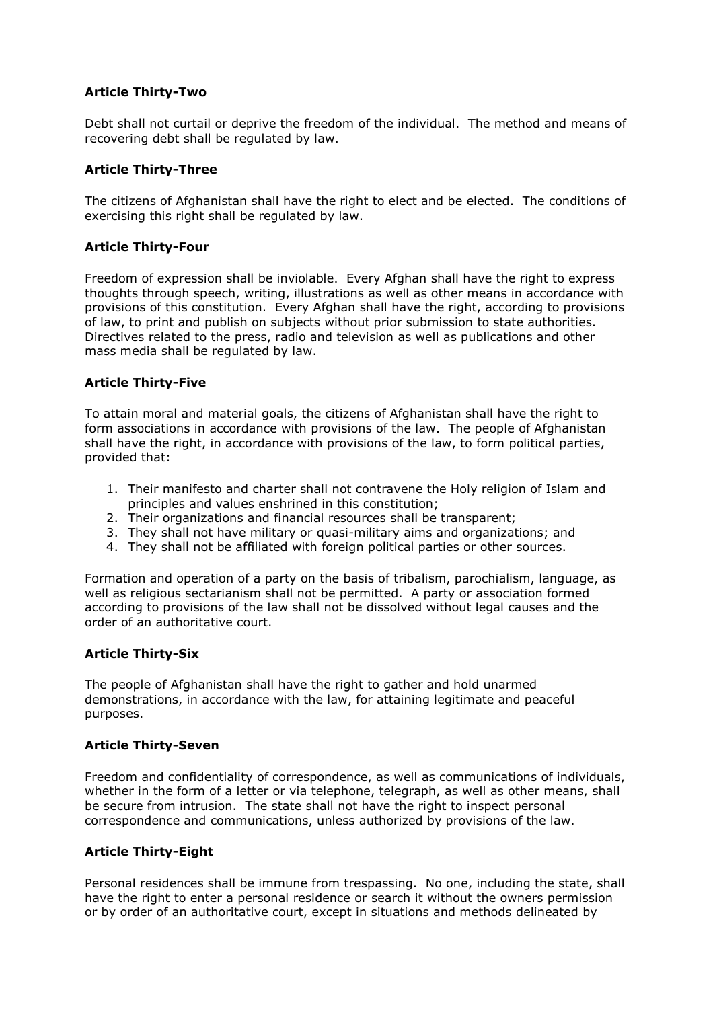### Article Thirty-Two

Debt shall not curtail or deprive the freedom of the individual. The method and means of recovering debt shall be regulated by law.

### Article Thirty-Three

The citizens of Afghanistan shall have the right to elect and be elected. The conditions of exercising this right shall be regulated by law.

### Article Thirty-Four

Freedom of expression shall be inviolable. Every Afghan shall have the right to express thoughts through speech, writing, illustrations as well as other means in accordance with provisions of this constitution. Every Afghan shall have the right, according to provisions of law, to print and publish on subjects without prior submission to state authorities. Directives related to the press, radio and television as well as publications and other mass media shall be regulated by law.

### Article Thirty-Five

To attain moral and material goals, the citizens of Afghanistan shall have the right to form associations in accordance with provisions of the law. The people of Afghanistan shall have the right, in accordance with provisions of the law, to form political parties, provided that:

- 1. Their manifesto and charter shall not contravene the Holy religion of Islam and principles and values enshrined in this constitution;
- 2. Their organizations and financial resources shall be transparent;
- 3. They shall not have military or quasi-military aims and organizations; and
- 4. They shall not be affiliated with foreign political parties or other sources.

Formation and operation of a party on the basis of tribalism, parochialism, language, as well as religious sectarianism shall not be permitted. A party or association formed according to provisions of the law shall not be dissolved without legal causes and the order of an authoritative court.

### Article Thirty-Six

The people of Afghanistan shall have the right to gather and hold unarmed demonstrations, in accordance with the law, for attaining legitimate and peaceful purposes.

### Article Thirty-Seven

Freedom and confidentiality of correspondence, as well as communications of individuals, whether in the form of a letter or via telephone, telegraph, as well as other means, shall be secure from intrusion. The state shall not have the right to inspect personal correspondence and communications, unless authorized by provisions of the law.

### Article Thirty-Eight

Personal residences shall be immune from trespassing. No one, including the state, shall have the right to enter a personal residence or search it without the owners permission or by order of an authoritative court, except in situations and methods delineated by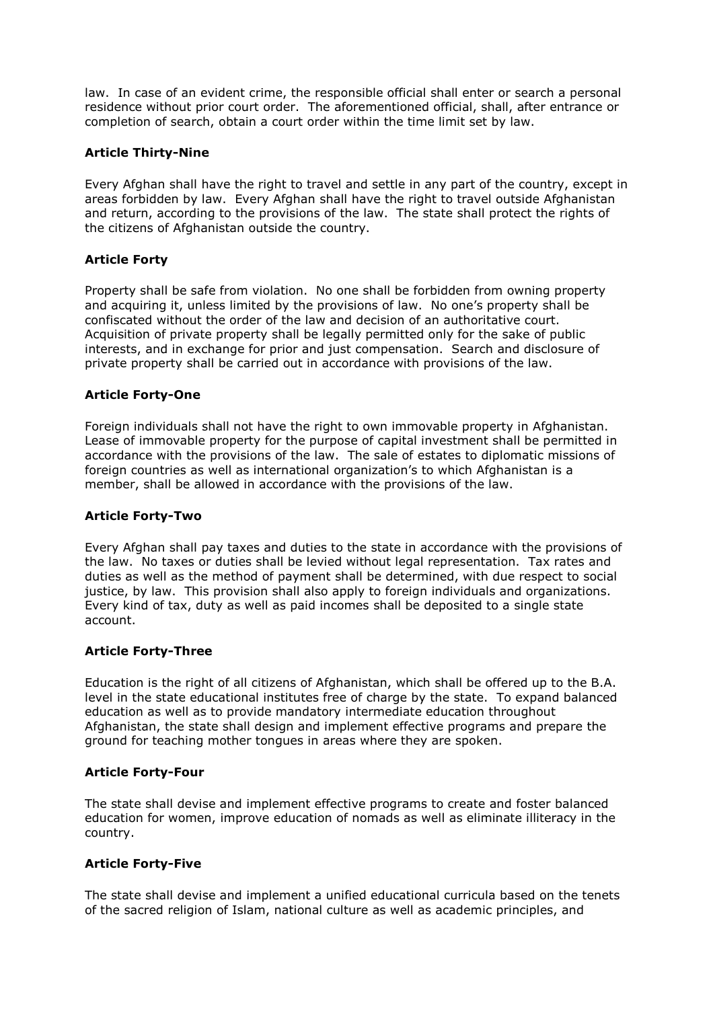law. In case of an evident crime, the responsible official shall enter or search a personal residence without prior court order. The aforementioned official, shall, after entrance or completion of search, obtain a court order within the time limit set by law.

# Article Thirty-Nine

Every Afghan shall have the right to travel and settle in any part of the country, except in areas forbidden by law. Every Afghan shall have the right to travel outside Afghanistan and return, according to the provisions of the law. The state shall protect the rights of the citizens of Afghanistan outside the country.

### Article Forty

Property shall be safe from violation. No one shall be forbidden from owning property and acquiring it, unless limited by the provisions of law. No one's property shall be confiscated without the order of the law and decision of an authoritative court. Acquisition of private property shall be legally permitted only for the sake of public interests, and in exchange for prior and just compensation. Search and disclosure of private property shall be carried out in accordance with provisions of the law.

### Article Forty-One

Foreign individuals shall not have the right to own immovable property in Afghanistan. Lease of immovable property for the purpose of capital investment shall be permitted in accordance with the provisions of the law. The sale of estates to diplomatic missions of foreign countries as well as international organization's to which Afghanistan is a member, shall be allowed in accordance with the provisions of the law.

### Article Forty-Two

Every Afghan shall pay taxes and duties to the state in accordance with the provisions of the law. No taxes or duties shall be levied without legal representation. Tax rates and duties as well as the method of payment shall be determined, with due respect to social justice, by law. This provision shall also apply to foreign individuals and organizations. Every kind of tax, duty as well as paid incomes shall be deposited to a single state account.

### Article Forty-Three

Education is the right of all citizens of Afghanistan, which shall be offered up to the B.A. level in the state educational institutes free of charge by the state. To expand balanced education as well as to provide mandatory intermediate education throughout Afghanistan, the state shall design and implement effective programs and prepare the ground for teaching mother tongues in areas where they are spoken.

### Article Forty-Four

The state shall devise and implement effective programs to create and foster balanced education for women, improve education of nomads as well as eliminate illiteracy in the country.

# Article Forty-Five

The state shall devise and implement a unified educational curricula based on the tenets of the sacred religion of Islam, national culture as well as academic principles, and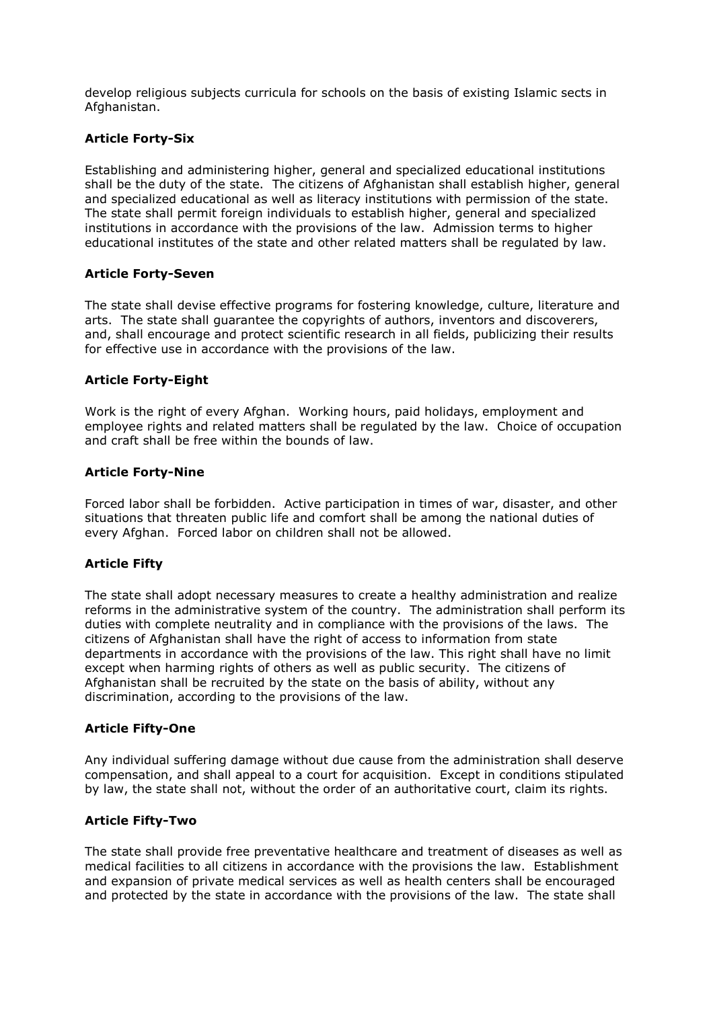develop religious subjects curricula for schools on the basis of existing Islamic sects in Afghanistan.

# Article Forty-Six

Establishing and administering higher, general and specialized educational institutions shall be the duty of the state. The citizens of Afghanistan shall establish higher, general and specialized educational as well as literacy institutions with permission of the state. The state shall permit foreign individuals to establish higher, general and specialized institutions in accordance with the provisions of the law. Admission terms to higher educational institutes of the state and other related matters shall be regulated by law.

### Article Forty-Seven

The state shall devise effective programs for fostering knowledge, culture, literature and arts. The state shall guarantee the copyrights of authors, inventors and discoverers, and, shall encourage and protect scientific research in all fields, publicizing their results for effective use in accordance with the provisions of the law.

### Article Forty-Eight

Work is the right of every Afghan. Working hours, paid holidays, employment and employee rights and related matters shall be regulated by the law. Choice of occupation and craft shall be free within the bounds of law.

#### Article Forty-Nine

Forced labor shall be forbidden. Active participation in times of war, disaster, and other situations that threaten public life and comfort shall be among the national duties of every Afghan. Forced labor on children shall not be allowed.

### Article Fifty

The state shall adopt necessary measures to create a healthy administration and realize reforms in the administrative system of the country. The administration shall perform its duties with complete neutrality and in compliance with the provisions of the laws. The citizens of Afghanistan shall have the right of access to information from state departments in accordance with the provisions of the law. This right shall have no limit except when harming rights of others as well as public security. The citizens of Afghanistan shall be recruited by the state on the basis of ability, without any discrimination, according to the provisions of the law.

#### Article Fifty-One

Any individual suffering damage without due cause from the administration shall deserve compensation, and shall appeal to a court for acquisition. Except in conditions stipulated by law, the state shall not, without the order of an authoritative court, claim its rights.

### Article Fifty-Two

The state shall provide free preventative healthcare and treatment of diseases as well as medical facilities to all citizens in accordance with the provisions the law. Establishment and expansion of private medical services as well as health centers shall be encouraged and protected by the state in accordance with the provisions of the law. The state shall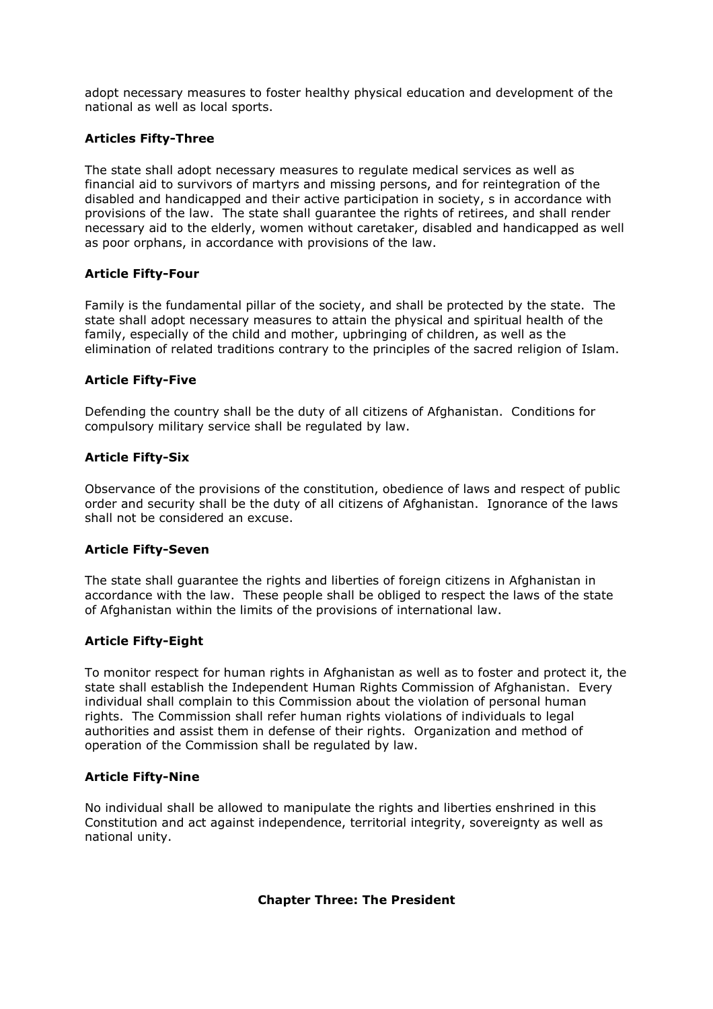adopt necessary measures to foster healthy physical education and development of the national as well as local sports.

# Articles Fifty-Three

The state shall adopt necessary measures to regulate medical services as well as financial aid to survivors of martyrs and missing persons, and for reintegration of the disabled and handicapped and their active participation in society, s in accordance with provisions of the law. The state shall guarantee the rights of retirees, and shall render necessary aid to the elderly, women without caretaker, disabled and handicapped as well as poor orphans, in accordance with provisions of the law.

### Article Fifty-Four

Family is the fundamental pillar of the society, and shall be protected by the state. The state shall adopt necessary measures to attain the physical and spiritual health of the family, especially of the child and mother, upbringing of children, as well as the elimination of related traditions contrary to the principles of the sacred religion of Islam.

### Article Fifty-Five

Defending the country shall be the duty of all citizens of Afghanistan. Conditions for compulsory military service shall be regulated by law.

### Article Fifty-Six

Observance of the provisions of the constitution, obedience of laws and respect of public order and security shall be the duty of all citizens of Afghanistan. Ignorance of the laws shall not be considered an excuse.

### Article Fifty-Seven

The state shall guarantee the rights and liberties of foreign citizens in Afghanistan in accordance with the law. These people shall be obliged to respect the laws of the state of Afghanistan within the limits of the provisions of international law.

### Article Fifty-Eight

To monitor respect for human rights in Afghanistan as well as to foster and protect it, the state shall establish the Independent Human Rights Commission of Afghanistan. Every individual shall complain to this Commission about the violation of personal human rights. The Commission shall refer human rights violations of individuals to legal authorities and assist them in defense of their rights. Organization and method of operation of the Commission shall be regulated by law.

### Article Fifty-Nine

No individual shall be allowed to manipulate the rights and liberties enshrined in this Constitution and act against independence, territorial integrity, sovereignty as well as national unity.

### Chapter Three: The President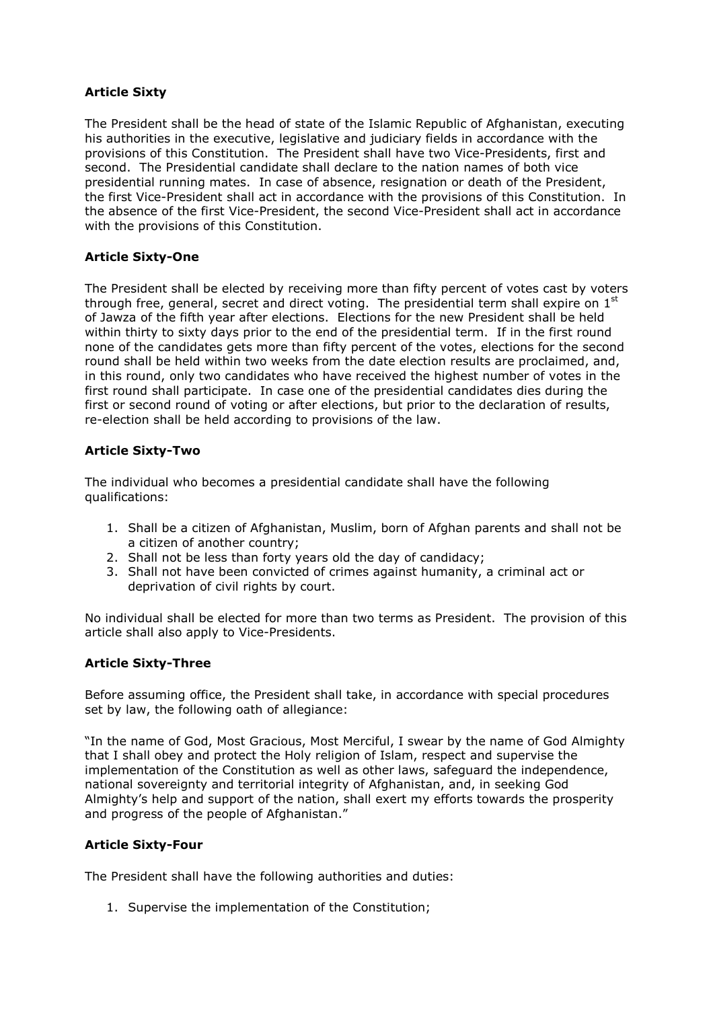# Article Sixty

The President shall be the head of state of the Islamic Republic of Afghanistan, executing his authorities in the executive, legislative and judiciary fields in accordance with the provisions of this Constitution. The President shall have two Vice-Presidents, first and second. The Presidential candidate shall declare to the nation names of both vice presidential running mates. In case of absence, resignation or death of the President, the first Vice-President shall act in accordance with the provisions of this Constitution. In the absence of the first Vice-President, the second Vice-President shall act in accordance with the provisions of this Constitution.

### Article Sixty-One

The President shall be elected by receiving more than fifty percent of votes cast by voters through free, general, secret and direct voting. The presidential term shall expire on  $1<sup>st</sup>$ of Jawza of the fifth year after elections. Elections for the new President shall be held within thirty to sixty days prior to the end of the presidential term. If in the first round none of the candidates gets more than fifty percent of the votes, elections for the second round shall be held within two weeks from the date election results are proclaimed, and, in this round, only two candidates who have received the highest number of votes in the first round shall participate. In case one of the presidential candidates dies during the first or second round of voting or after elections, but prior to the declaration of results, re-election shall be held according to provisions of the law.

### Article Sixty-Two

The individual who becomes a presidential candidate shall have the following qualifications:

- 1. Shall be a citizen of Afghanistan, Muslim, born of Afghan parents and shall not be a citizen of another country;
- 2. Shall not be less than forty years old the day of candidacy;
- 3. Shall not have been convicted of crimes against humanity, a criminal act or deprivation of civil rights by court.

No individual shall be elected for more than two terms as President. The provision of this article shall also apply to Vice-Presidents.

### Article Sixty-Three

Before assuming office, the President shall take, in accordance with special procedures set by law, the following oath of allegiance:

"In the name of God, Most Gracious, Most Merciful, I swear by the name of God Almighty that I shall obey and protect the Holy religion of Islam, respect and supervise the implementation of the Constitution as well as other laws, safeguard the independence, national sovereignty and territorial integrity of Afghanistan, and, in seeking God Almighty's help and support of the nation, shall exert my efforts towards the prosperity and progress of the people of Afghanistan."

# Article Sixty-Four

The President shall have the following authorities and duties:

1. Supervise the implementation of the Constitution;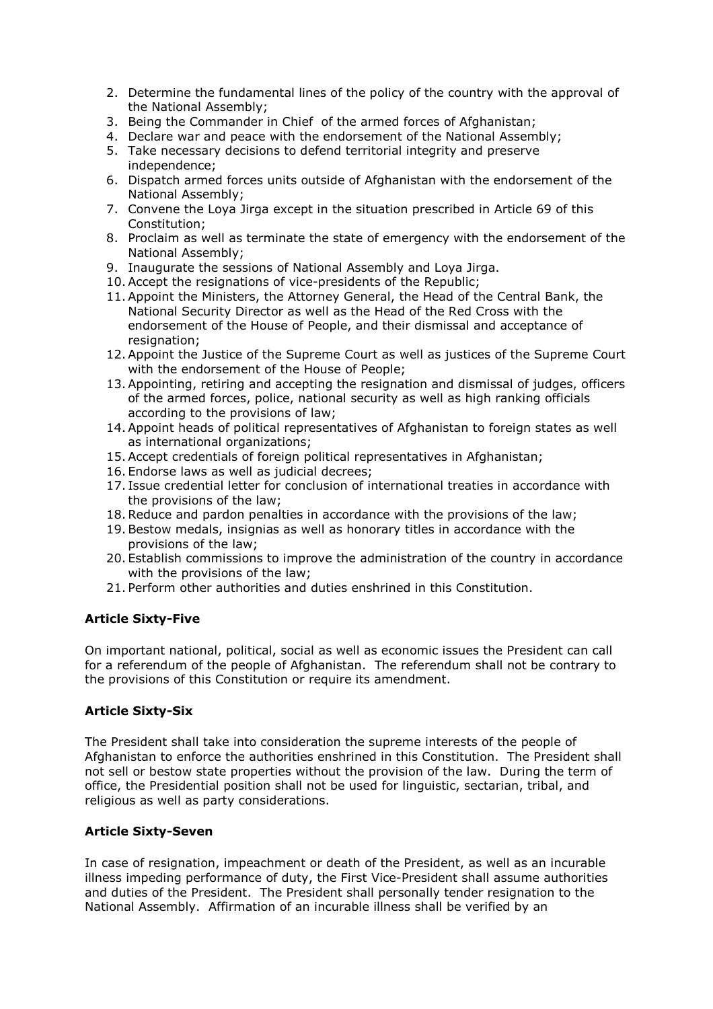- 2. Determine the fundamental lines of the policy of the country with the approval of the National Assembly;
- 3. Being the Commander in Chief of the armed forces of Afghanistan;
- 4. Declare war and peace with the endorsement of the National Assembly;
- 5. Take necessary decisions to defend territorial integrity and preserve independence;
- 6. Dispatch armed forces units outside of Afghanistan with the endorsement of the National Assembly;
- 7. Convene the Loya Jirga except in the situation prescribed in Article 69 of this Constitution;
- 8. Proclaim as well as terminate the state of emergency with the endorsement of the National Assembly;
- 9. Inaugurate the sessions of National Assembly and Loya Jirga.
- 10.Accept the resignations of vice-presidents of the Republic;
- 11.Appoint the Ministers, the Attorney General, the Head of the Central Bank, the National Security Director as well as the Head of the Red Cross with the endorsement of the House of People, and their dismissal and acceptance of resignation:
- 12.Appoint the Justice of the Supreme Court as well as justices of the Supreme Court with the endorsement of the House of People;
- 13.Appointing, retiring and accepting the resignation and dismissal of judges, officers of the armed forces, police, national security as well as high ranking officials according to the provisions of law;
- 14.Appoint heads of political representatives of Afghanistan to foreign states as well as international organizations;
- 15.Accept credentials of foreign political representatives in Afghanistan;
- 16. Endorse laws as well as judicial decrees;
- 17. Issue credential letter for conclusion of international treaties in accordance with the provisions of the law;
- 18.Reduce and pardon penalties in accordance with the provisions of the law;
- 19.Bestow medals, insignias as well as honorary titles in accordance with the provisions of the law;
- 20. Establish commissions to improve the administration of the country in accordance with the provisions of the law;
- 21. Perform other authorities and duties enshrined in this Constitution.

# Article Sixty-Five

On important national, political, social as well as economic issues the President can call for a referendum of the people of Afghanistan. The referendum shall not be contrary to the provisions of this Constitution or require its amendment.

# Article Sixty-Six

The President shall take into consideration the supreme interests of the people of Afghanistan to enforce the authorities enshrined in this Constitution. The President shall not sell or bestow state properties without the provision of the law. During the term of office, the Presidential position shall not be used for linguistic, sectarian, tribal, and religious as well as party considerations.

### Article Sixty-Seven

In case of resignation, impeachment or death of the President, as well as an incurable illness impeding performance of duty, the First Vice-President shall assume authorities and duties of the President. The President shall personally tender resignation to the National Assembly. Affirmation of an incurable illness shall be verified by an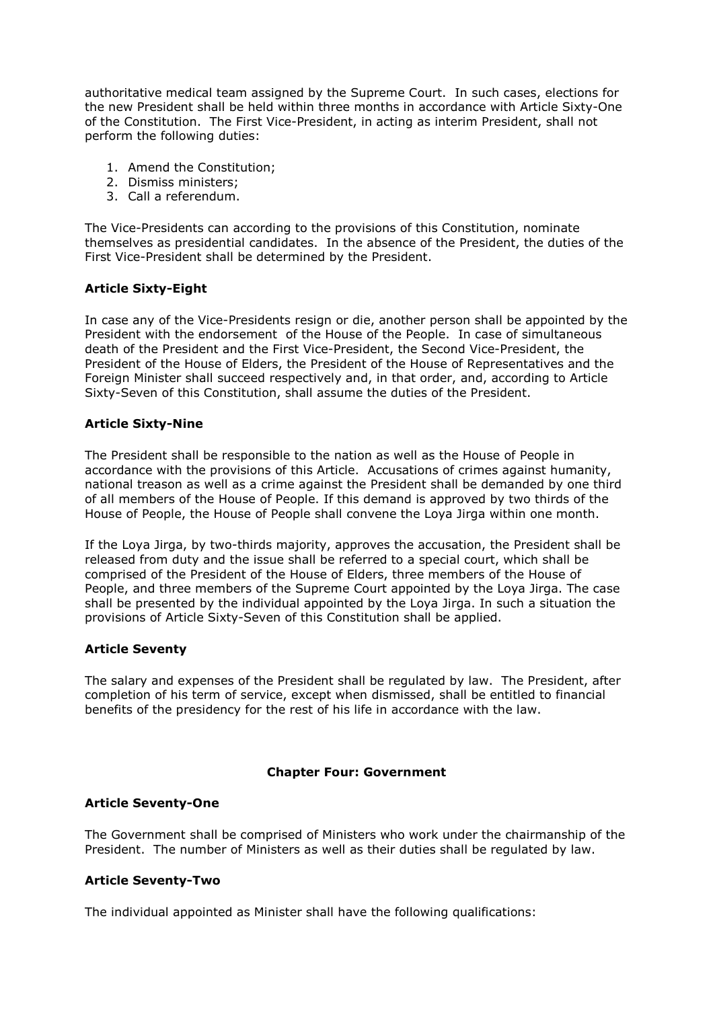authoritative medical team assigned by the Supreme Court. In such cases, elections for the new President shall be held within three months in accordance with Article Sixty-One of the Constitution. The First Vice-President, in acting as interim President, shall not perform the following duties:

- 1. Amend the Constitution;
- 2. Dismiss ministers;
- 3. Call a referendum.

The Vice-Presidents can according to the provisions of this Constitution, nominate themselves as presidential candidates. In the absence of the President, the duties of the First Vice-President shall be determined by the President.

# Article Sixty-Eight

In case any of the Vice-Presidents resign or die, another person shall be appointed by the President with the endorsement of the House of the People. In case of simultaneous death of the President and the First Vice-President, the Second Vice-President, the President of the House of Elders, the President of the House of Representatives and the Foreign Minister shall succeed respectively and, in that order, and, according to Article Sixty-Seven of this Constitution, shall assume the duties of the President.

### Article Sixty-Nine

The President shall be responsible to the nation as well as the House of People in accordance with the provisions of this Article. Accusations of crimes against humanity, national treason as well as a crime against the President shall be demanded by one third of all members of the House of People. If this demand is approved by two thirds of the House of People, the House of People shall convene the Loya Jirga within one month.

If the Loya Jirga, by two-thirds majority, approves the accusation, the President shall be released from duty and the issue shall be referred to a special court, which shall be comprised of the President of the House of Elders, three members of the House of People, and three members of the Supreme Court appointed by the Loya Jirga. The case shall be presented by the individual appointed by the Loya Jirga. In such a situation the provisions of Article Sixty-Seven of this Constitution shall be applied.

### Article Seventy

The salary and expenses of the President shall be regulated by law. The President, after completion of his term of service, except when dismissed, shall be entitled to financial benefits of the presidency for the rest of his life in accordance with the law.

### Chapter Four: Government

### Article Seventy-One

The Government shall be comprised of Ministers who work under the chairmanship of the President. The number of Ministers as well as their duties shall be regulated by law.

### Article Seventy-Two

The individual appointed as Minister shall have the following qualifications: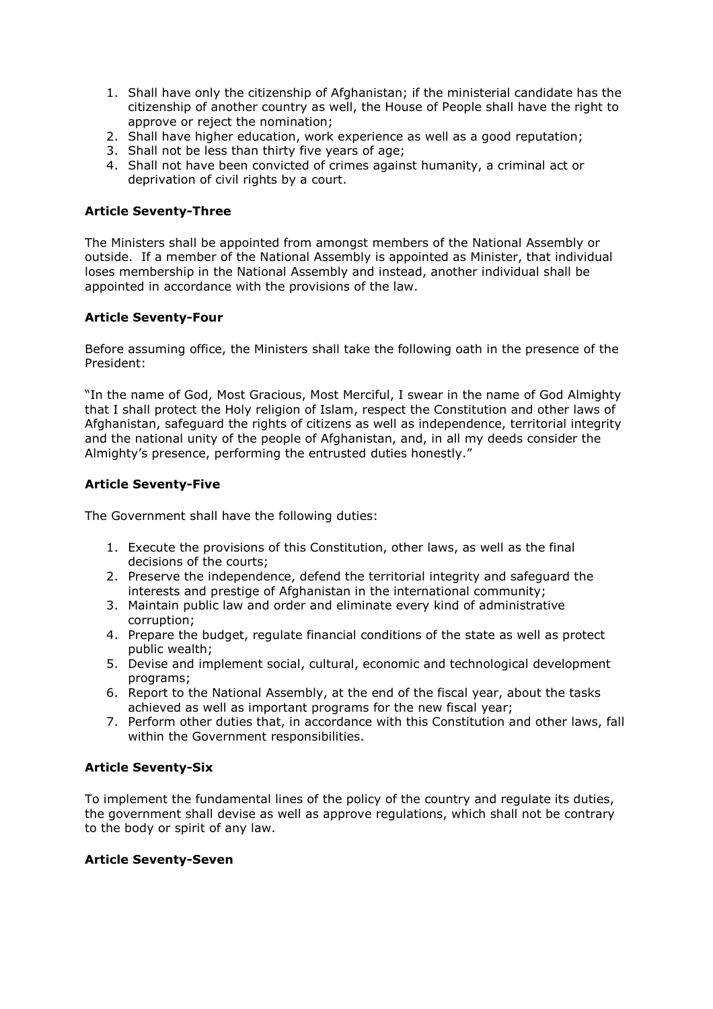- 1. Shall have only the citizenship of Afghanistan; if the ministerial candidate has the citizenship of another country as well, the House of People shall have the right to approve or reject the nomination;
- 2. Shall have higher education, work experience as well as a good reputation;
- 3. Shall not be less than thirty five years of age;
- 4. Shall not have been convicted of crimes against humanity, a criminal act or deprivation of civil rights by a court.

### Article Seventy-Three

The Ministers shall be appointed from amongst members of the National Assembly or outside. If a member of the National Assembly is appointed as Minister, that individual loses membership in the National Assembly and instead, another individual shall be appointed in accordance with the provisions of the law.

### Article Seventy-Four

Before assuming office, the Ministers shall take the following oath in the presence of the President:

"In the name of God, Most Gracious, Most Merciful, I swear in the name of God Almighty that I shall protect the Holy religion of Islam, respect the Constitution and other laws of Afghanistan, safeguard the rights of citizens as well as independence, territorial integrity and the national unity of the people of Afghanistan, and, in all my deeds consider the Almighty's presence, performing the entrusted duties honestly."

### Article Seventy-Five

The Government shall have the following duties:

- 1. Execute the provisions of this Constitution, other laws, as well as the final decisions of the courts;
- 2. Preserve the independence, defend the territorial integrity and safeguard the interests and prestige of Afghanistan in the international community;
- 3. Maintain public law and order and eliminate every kind of administrative corruption;
- 4. Prepare the budget, regulate financial conditions of the state as well as protect public wealth;
- 5. Devise and implement social, cultural, economic and technological development programs;
- 6. Report to the National Assembly, at the end of the fiscal year, about the tasks achieved as well as important programs for the new fiscal year;
- 7. Perform other duties that, in accordance with this Constitution and other laws, fall within the Government responsibilities.

### Article Seventy-Six

To implement the fundamental lines of the policy of the country and regulate its duties, the government shall devise as well as approve regulations, which shall not be contrary to the body or spirit of any law.

### Article Seventy-Seven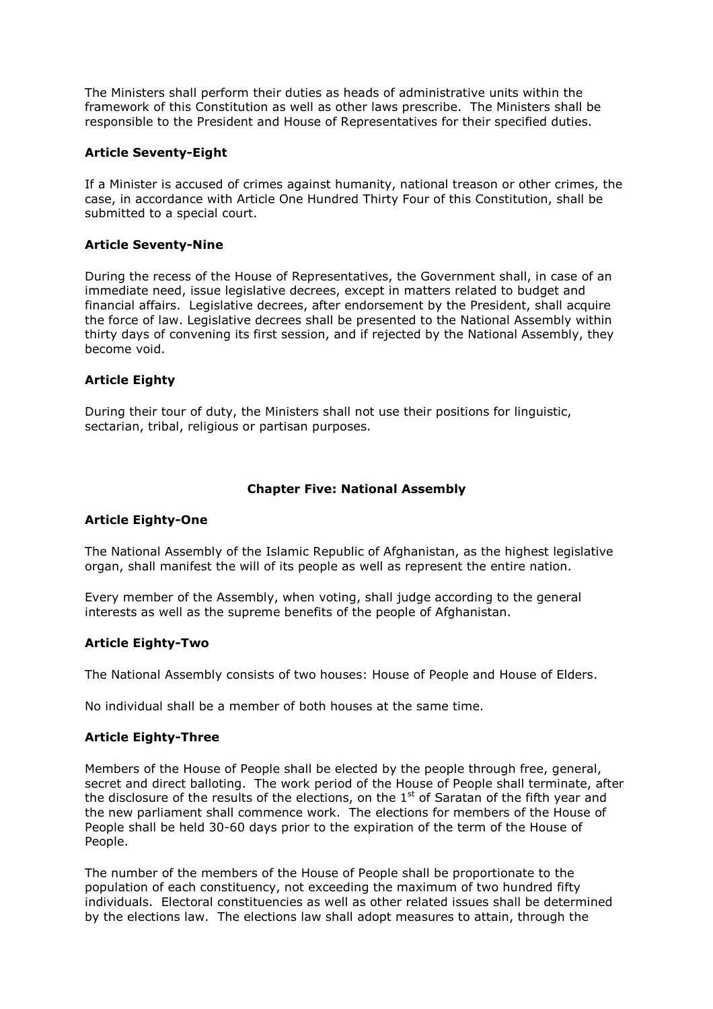The Ministers shall perform their duties as heads of administrative units within the framework of this Constitution as well as other laws prescribe. The Ministers shall be responsible to the President and House of Representatives for their specified duties.

### Article Seventy-Eight

If a Minister is accused of crimes against humanity, national treason or other crimes, the case, in accordance with Article One Hundred Thirty Four of this Constitution, shall be submitted to a special court.

### Article Seventy-Nine

During the recess of the House of Representatives, the Government shall, in case of an immediate need, issue legislative decrees, except in matters related to budget and financial affairs. Legislative decrees, after endorsement by the President, shall acquire the force of law. Legislative decrees shall be presented to the National Assembly within thirty days of convening its first session, and if rejected by the National Assembly, they become void.

### Article Eighty

During their tour of duty, the Ministers shall not use their positions for linguistic, sectarian, tribal, religious or partisan purposes.

### Chapter Five: National Assembly

### Article Eighty-One

The National Assembly of the Islamic Republic of Afghanistan, as the highest legislative organ, shall manifest the will of its people as well as represent the entire nation.

Every member of the Assembly, when voting, shall judge according to the general interests as well as the supreme benefits of the people of Afghanistan.

### Article Eighty-Two

The National Assembly consists of two houses: House of People and House of Elders.

No individual shall be a member of both houses at the same time.

### Article Eighty-Three

Members of the House of People shall be elected by the people through free, general, secret and direct balloting. The work period of the House of People shall terminate, after the disclosure of the results of the elections, on the  $1<sup>st</sup>$  of Saratan of the fifth year and the new parliament shall commence work. The elections for members of the House of People shall be held 30-60 days prior to the expiration of the term of the House of People.

The number of the members of the House of People shall be proportionate to the population of each constituency, not exceeding the maximum of two hundred fifty individuals. Electoral constituencies as well as other related issues shall be determined by the elections law. The elections law shall adopt measures to attain, through the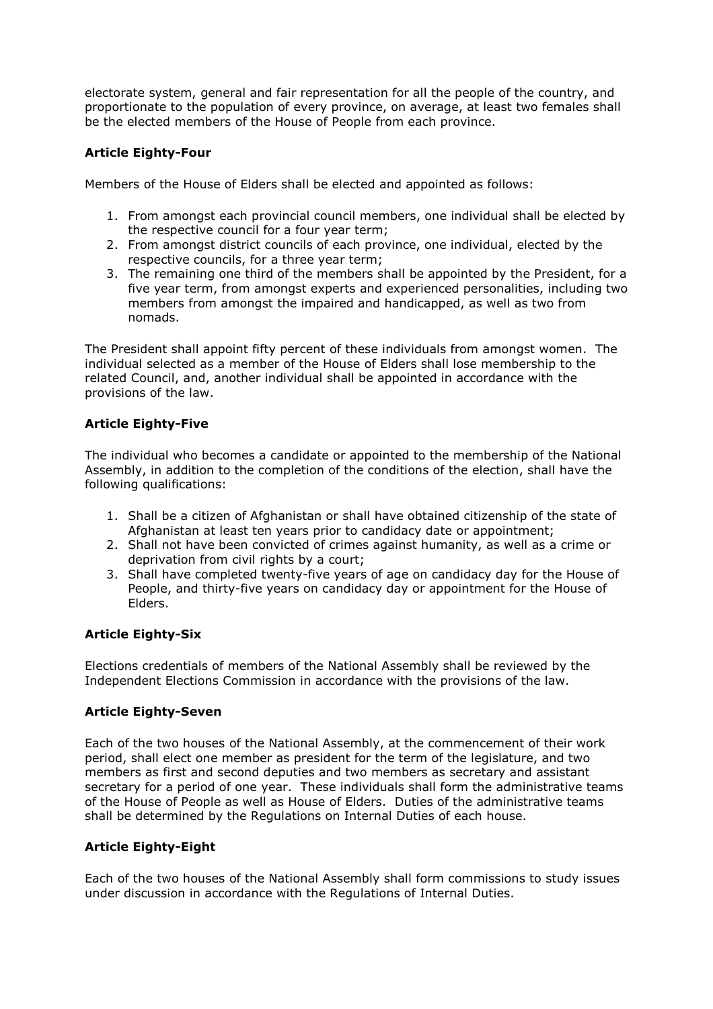electorate system, general and fair representation for all the people of the country, and proportionate to the population of every province, on average, at least two females shall be the elected members of the House of People from each province.

# Article Eighty-Four

Members of the House of Elders shall be elected and appointed as follows:

- 1. From amongst each provincial council members, one individual shall be elected by the respective council for a four year term;
- 2. From amongst district councils of each province, one individual, elected by the respective councils, for a three year term;
- 3. The remaining one third of the members shall be appointed by the President, for a five year term, from amongst experts and experienced personalities, including two members from amongst the impaired and handicapped, as well as two from nomads.

The President shall appoint fifty percent of these individuals from amongst women. The individual selected as a member of the House of Elders shall lose membership to the related Council, and, another individual shall be appointed in accordance with the provisions of the law.

# Article Eighty-Five

The individual who becomes a candidate or appointed to the membership of the National Assembly, in addition to the completion of the conditions of the election, shall have the following qualifications:

- 1. Shall be a citizen of Afghanistan or shall have obtained citizenship of the state of Afghanistan at least ten years prior to candidacy date or appointment;
- 2. Shall not have been convicted of crimes against humanity, as well as a crime or deprivation from civil rights by a court;
- 3. Shall have completed twenty-five years of age on candidacy day for the House of People, and thirty-five years on candidacy day or appointment for the House of Elders.

# Article Eighty-Six

Elections credentials of members of the National Assembly shall be reviewed by the Independent Elections Commission in accordance with the provisions of the law.

# Article Eighty-Seven

Each of the two houses of the National Assembly, at the commencement of their work period, shall elect one member as president for the term of the legislature, and two members as first and second deputies and two members as secretary and assistant secretary for a period of one year. These individuals shall form the administrative teams of the House of People as well as House of Elders. Duties of the administrative teams shall be determined by the Regulations on Internal Duties of each house.

# Article Eighty-Eight

Each of the two houses of the National Assembly shall form commissions to study issues under discussion in accordance with the Regulations of Internal Duties.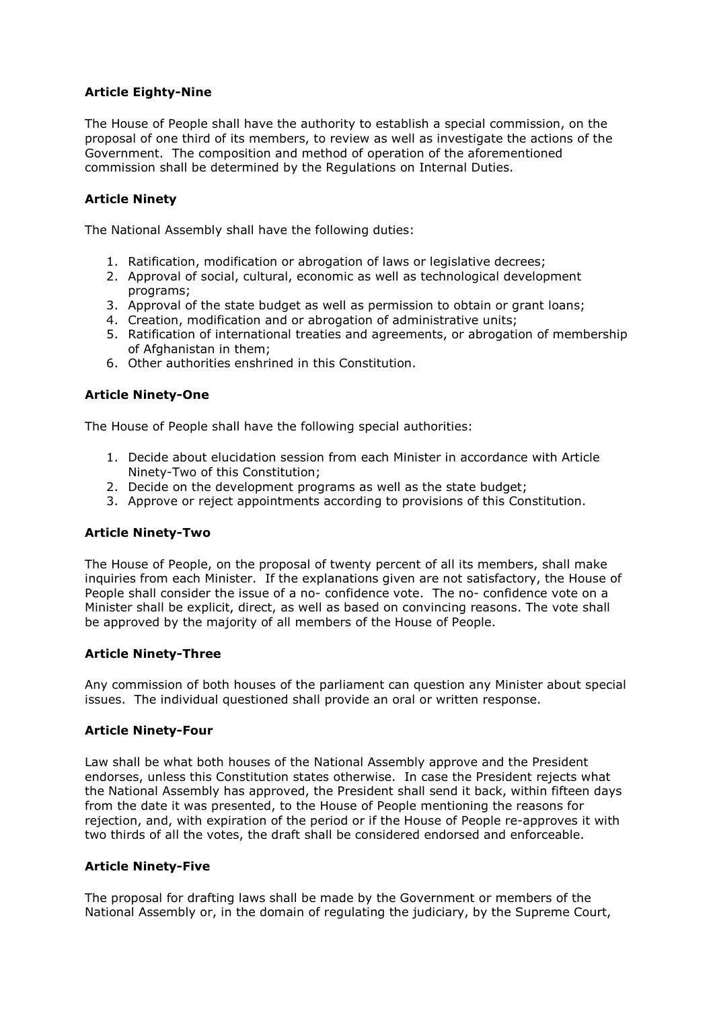# Article Eighty-Nine

The House of People shall have the authority to establish a special commission, on the proposal of one third of its members, to review as well as investigate the actions of the Government. The composition and method of operation of the aforementioned commission shall be determined by the Regulations on Internal Duties.

# Article Ninety

The National Assembly shall have the following duties:

- 1. Ratification, modification or abrogation of laws or legislative decrees;
- 2. Approval of social, cultural, economic as well as technological development programs;
- 3. Approval of the state budget as well as permission to obtain or grant loans;
- 4. Creation, modification and or abrogation of administrative units;
- 5. Ratification of international treaties and agreements, or abrogation of membership of Afghanistan in them;
- 6. Other authorities enshrined in this Constitution.

### Article Ninety-One

The House of People shall have the following special authorities:

- 1. Decide about elucidation session from each Minister in accordance with Article Ninety-Two of this Constitution;
- 2. Decide on the development programs as well as the state budget;
- 3. Approve or reject appointments according to provisions of this Constitution.

### Article Ninety-Two

The House of People, on the proposal of twenty percent of all its members, shall make inquiries from each Minister. If the explanations given are not satisfactory, the House of People shall consider the issue of a no- confidence vote. The no- confidence vote on a Minister shall be explicit, direct, as well as based on convincing reasons. The vote shall be approved by the majority of all members of the House of People.

### Article Ninety-Three

Any commission of both houses of the parliament can question any Minister about special issues. The individual questioned shall provide an oral or written response.

### Article Ninety-Four

Law shall be what both houses of the National Assembly approve and the President endorses, unless this Constitution states otherwise. In case the President rejects what the National Assembly has approved, the President shall send it back, within fifteen days from the date it was presented, to the House of People mentioning the reasons for rejection, and, with expiration of the period or if the House of People re-approves it with two thirds of all the votes, the draft shall be considered endorsed and enforceable.

### Article Ninety-Five

The proposal for drafting laws shall be made by the Government or members of the National Assembly or, in the domain of regulating the judiciary, by the Supreme Court,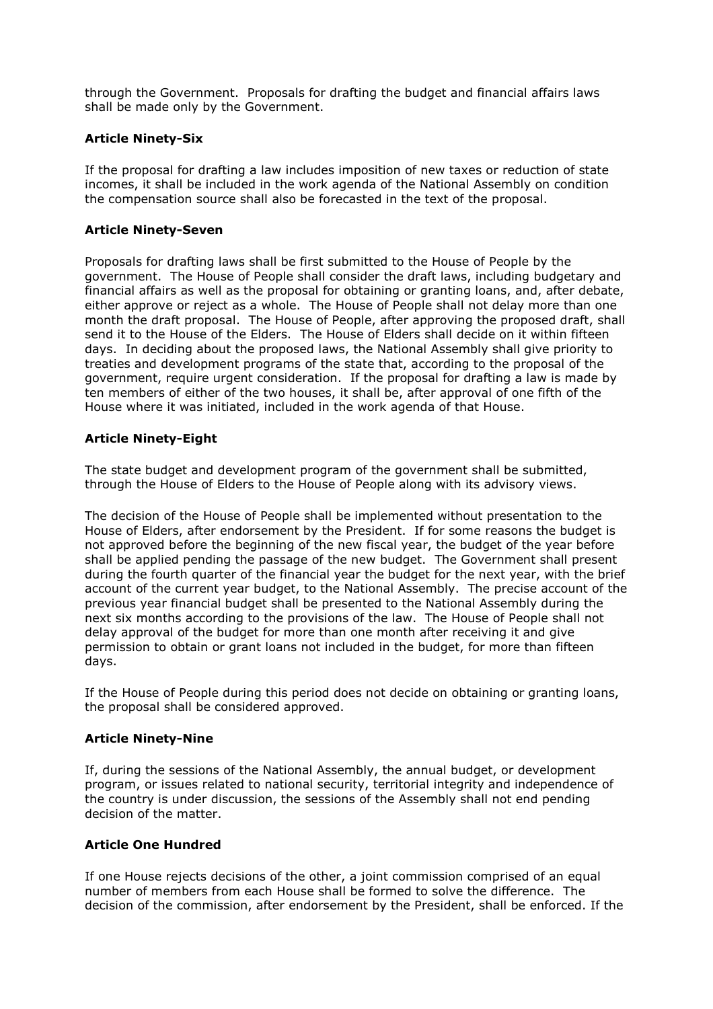through the Government. Proposals for drafting the budget and financial affairs laws shall be made only by the Government.

### Article Ninety-Six

If the proposal for drafting a law includes imposition of new taxes or reduction of state incomes, it shall be included in the work agenda of the National Assembly on condition the compensation source shall also be forecasted in the text of the proposal.

### Article Ninety-Seven

Proposals for drafting laws shall be first submitted to the House of People by the government. The House of People shall consider the draft laws, including budgetary and financial affairs as well as the proposal for obtaining or granting loans, and, after debate, either approve or reject as a whole. The House of People shall not delay more than one month the draft proposal. The House of People, after approving the proposed draft, shall send it to the House of the Elders. The House of Elders shall decide on it within fifteen days. In deciding about the proposed laws, the National Assembly shall give priority to treaties and development programs of the state that, according to the proposal of the government, require urgent consideration. If the proposal for drafting a law is made by ten members of either of the two houses, it shall be, after approval of one fifth of the House where it was initiated, included in the work agenda of that House.

### Article Ninety-Eight

The state budget and development program of the government shall be submitted, through the House of Elders to the House of People along with its advisory views.

The decision of the House of People shall be implemented without presentation to the House of Elders, after endorsement by the President. If for some reasons the budget is not approved before the beginning of the new fiscal year, the budget of the year before shall be applied pending the passage of the new budget. The Government shall present during the fourth quarter of the financial year the budget for the next year, with the brief account of the current year budget, to the National Assembly. The precise account of the previous year financial budget shall be presented to the National Assembly during the next six months according to the provisions of the law. The House of People shall not delay approval of the budget for more than one month after receiving it and give permission to obtain or grant loans not included in the budget, for more than fifteen days.

If the House of People during this period does not decide on obtaining or granting loans, the proposal shall be considered approved.

# Article Ninety-Nine

If, during the sessions of the National Assembly, the annual budget, or development program, or issues related to national security, territorial integrity and independence of the country is under discussion, the sessions of the Assembly shall not end pending decision of the matter.

### Article One Hundred

If one House rejects decisions of the other, a joint commission comprised of an equal number of members from each House shall be formed to solve the difference. The decision of the commission, after endorsement by the President, shall be enforced. If the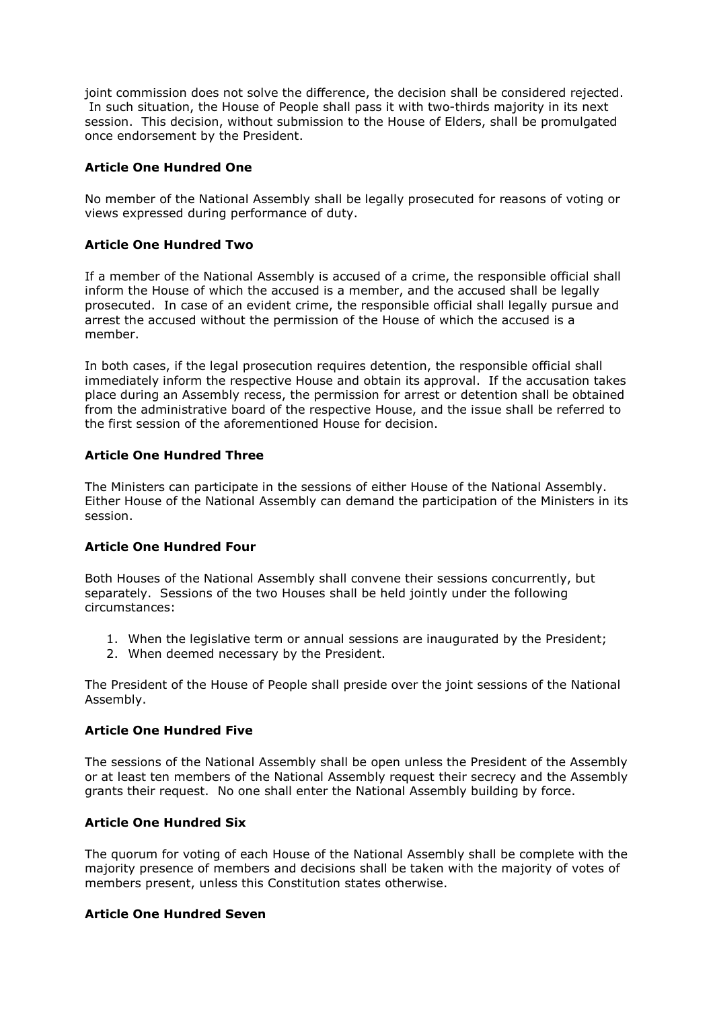joint commission does not solve the difference, the decision shall be considered rejected. In such situation, the House of People shall pass it with two-thirds majority in its next session. This decision, without submission to the House of Elders, shall be promulgated once endorsement by the President.

# Article One Hundred One

No member of the National Assembly shall be legally prosecuted for reasons of voting or views expressed during performance of duty.

### Article One Hundred Two

If a member of the National Assembly is accused of a crime, the responsible official shall inform the House of which the accused is a member, and the accused shall be legally prosecuted. In case of an evident crime, the responsible official shall legally pursue and arrest the accused without the permission of the House of which the accused is a member.

In both cases, if the legal prosecution requires detention, the responsible official shall immediately inform the respective House and obtain its approval. If the accusation takes place during an Assembly recess, the permission for arrest or detention shall be obtained from the administrative board of the respective House, and the issue shall be referred to the first session of the aforementioned House for decision.

### Article One Hundred Three

The Ministers can participate in the sessions of either House of the National Assembly. Either House of the National Assembly can demand the participation of the Ministers in its session.

### Article One Hundred Four

Both Houses of the National Assembly shall convene their sessions concurrently, but separately. Sessions of the two Houses shall be held jointly under the following circumstances:

- 1. When the legislative term or annual sessions are inaugurated by the President;
- 2. When deemed necessary by the President.

The President of the House of People shall preside over the joint sessions of the National Assembly.

### Article One Hundred Five

The sessions of the National Assembly shall be open unless the President of the Assembly or at least ten members of the National Assembly request their secrecy and the Assembly grants their request. No one shall enter the National Assembly building by force.

### Article One Hundred Six

The quorum for voting of each House of the National Assembly shall be complete with the majority presence of members and decisions shall be taken with the majority of votes of members present, unless this Constitution states otherwise.

### Article One Hundred Seven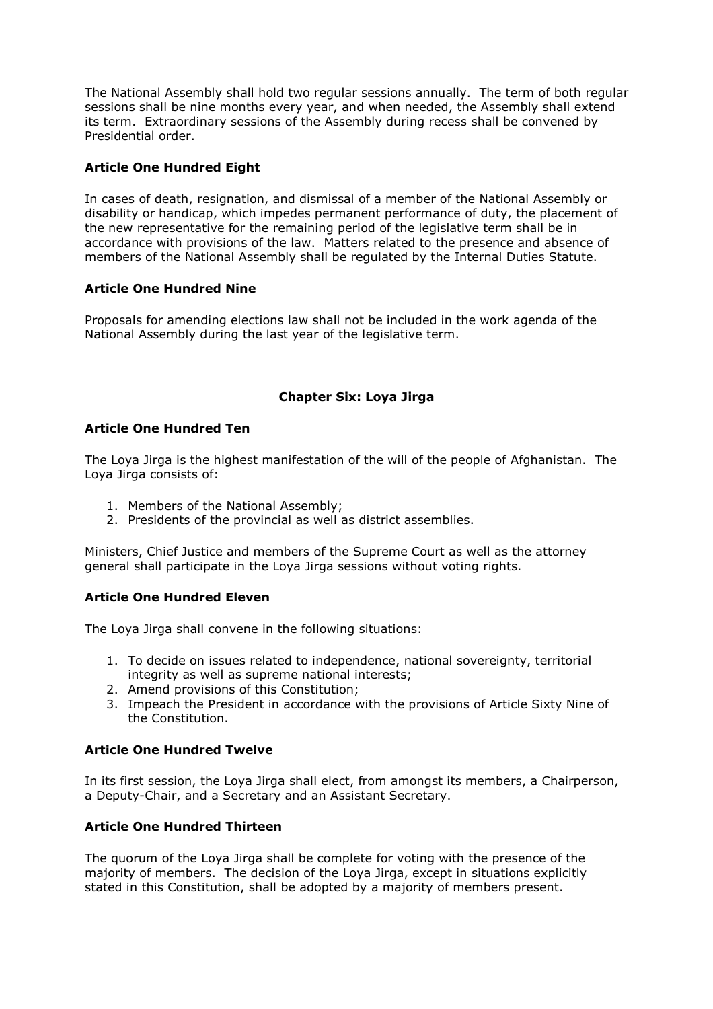The National Assembly shall hold two regular sessions annually. The term of both regular sessions shall be nine months every year, and when needed, the Assembly shall extend its term. Extraordinary sessions of the Assembly during recess shall be convened by Presidential order.

# Article One Hundred Eight

In cases of death, resignation, and dismissal of a member of the National Assembly or disability or handicap, which impedes permanent performance of duty, the placement of the new representative for the remaining period of the legislative term shall be in accordance with provisions of the law. Matters related to the presence and absence of members of the National Assembly shall be regulated by the Internal Duties Statute.

# Article One Hundred Nine

Proposals for amending elections law shall not be included in the work agenda of the National Assembly during the last year of the legislative term.

# Chapter Six: Loya Jirga

# Article One Hundred Ten

The Loya Jirga is the highest manifestation of the will of the people of Afghanistan. The Loya Jirga consists of:

- 1. Members of the National Assembly;
- 2. Presidents of the provincial as well as district assemblies.

Ministers, Chief Justice and members of the Supreme Court as well as the attorney general shall participate in the Loya Jirga sessions without voting rights.

# Article One Hundred Eleven

The Loya Jirga shall convene in the following situations:

- 1. To decide on issues related to independence, national sovereignty, territorial integrity as well as supreme national interests;
- 2. Amend provisions of this Constitution;
- 3. Impeach the President in accordance with the provisions of Article Sixty Nine of the Constitution.

# Article One Hundred Twelve

In its first session, the Loya Jirga shall elect, from amongst its members, a Chairperson, a Deputy-Chair, and a Secretary and an Assistant Secretary.

# Article One Hundred Thirteen

The quorum of the Loya Jirga shall be complete for voting with the presence of the majority of members. The decision of the Loya Jirga, except in situations explicitly stated in this Constitution, shall be adopted by a majority of members present.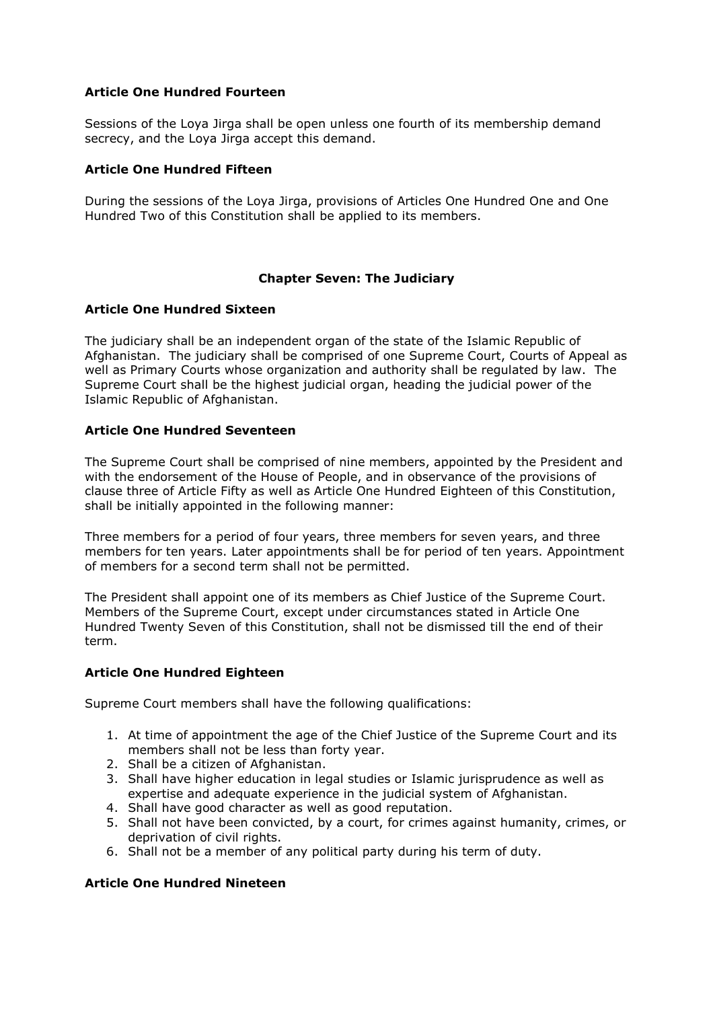# Article One Hundred Fourteen

Sessions of the Loya Jirga shall be open unless one fourth of its membership demand secrecy, and the Loya Jirga accept this demand.

### Article One Hundred Fifteen

During the sessions of the Loya Jirga, provisions of Articles One Hundred One and One Hundred Two of this Constitution shall be applied to its members.

### Chapter Seven: The Judiciary

### Article One Hundred Sixteen

The judiciary shall be an independent organ of the state of the Islamic Republic of Afghanistan. The judiciary shall be comprised of one Supreme Court, Courts of Appeal as well as Primary Courts whose organization and authority shall be regulated by law. The Supreme Court shall be the highest judicial organ, heading the judicial power of the Islamic Republic of Afghanistan.

### Article One Hundred Seventeen

The Supreme Court shall be comprised of nine members, appointed by the President and with the endorsement of the House of People, and in observance of the provisions of clause three of Article Fifty as well as Article One Hundred Eighteen of this Constitution, shall be initially appointed in the following manner:

Three members for a period of four years, three members for seven years, and three members for ten years. Later appointments shall be for period of ten years. Appointment of members for a second term shall not be permitted.

The President shall appoint one of its members as Chief Justice of the Supreme Court. Members of the Supreme Court, except under circumstances stated in Article One Hundred Twenty Seven of this Constitution, shall not be dismissed till the end of their term.

### Article One Hundred Eighteen

Supreme Court members shall have the following qualifications:

- 1. At time of appointment the age of the Chief Justice of the Supreme Court and its members shall not be less than forty year.
- 2. Shall be a citizen of Afghanistan.
- 3. Shall have higher education in legal studies or Islamic jurisprudence as well as expertise and adequate experience in the judicial system of Afghanistan.
- 4. Shall have good character as well as good reputation.
- 5. Shall not have been convicted, by a court, for crimes against humanity, crimes, or deprivation of civil rights.
- 6. Shall not be a member of any political party during his term of duty.

### Article One Hundred Nineteen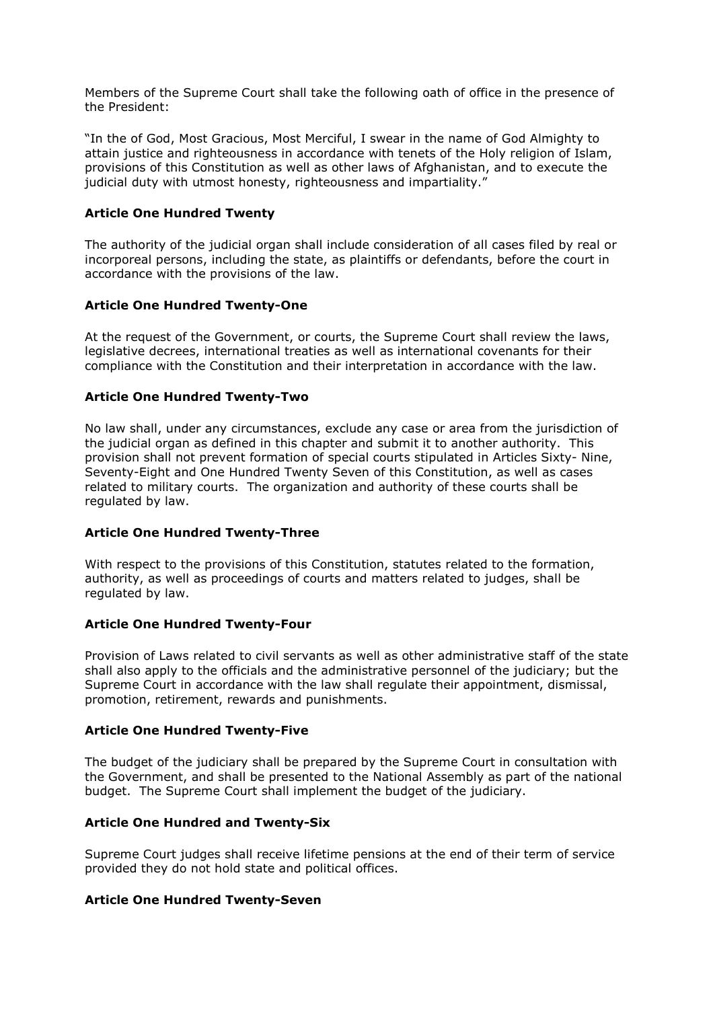Members of the Supreme Court shall take the following oath of office in the presence of the President:

"In the of God, Most Gracious, Most Merciful, I swear in the name of God Almighty to attain justice and righteousness in accordance with tenets of the Holy religion of Islam, provisions of this Constitution as well as other laws of Afghanistan, and to execute the judicial duty with utmost honesty, righteousness and impartiality."

### Article One Hundred Twenty

The authority of the judicial organ shall include consideration of all cases filed by real or incorporeal persons, including the state, as plaintiffs or defendants, before the court in accordance with the provisions of the law.

### Article One Hundred Twenty-One

At the request of the Government, or courts, the Supreme Court shall review the laws, legislative decrees, international treaties as well as international covenants for their compliance with the Constitution and their interpretation in accordance with the law.

### Article One Hundred Twenty-Two

No law shall, under any circumstances, exclude any case or area from the jurisdiction of the judicial organ as defined in this chapter and submit it to another authority. This provision shall not prevent formation of special courts stipulated in Articles Sixty- Nine, Seventy-Eight and One Hundred Twenty Seven of this Constitution, as well as cases related to military courts. The organization and authority of these courts shall be regulated by law.

### Article One Hundred Twenty-Three

With respect to the provisions of this Constitution, statutes related to the formation, authority, as well as proceedings of courts and matters related to judges, shall be regulated by law.

### Article One Hundred Twenty-Four

Provision of Laws related to civil servants as well as other administrative staff of the state shall also apply to the officials and the administrative personnel of the judiciary; but the Supreme Court in accordance with the law shall regulate their appointment, dismissal, promotion, retirement, rewards and punishments.

### Article One Hundred Twenty-Five

The budget of the judiciary shall be prepared by the Supreme Court in consultation with the Government, and shall be presented to the National Assembly as part of the national budget. The Supreme Court shall implement the budget of the judiciary.

### Article One Hundred and Twenty-Six

Supreme Court judges shall receive lifetime pensions at the end of their term of service provided they do not hold state and political offices.

### Article One Hundred Twenty-Seven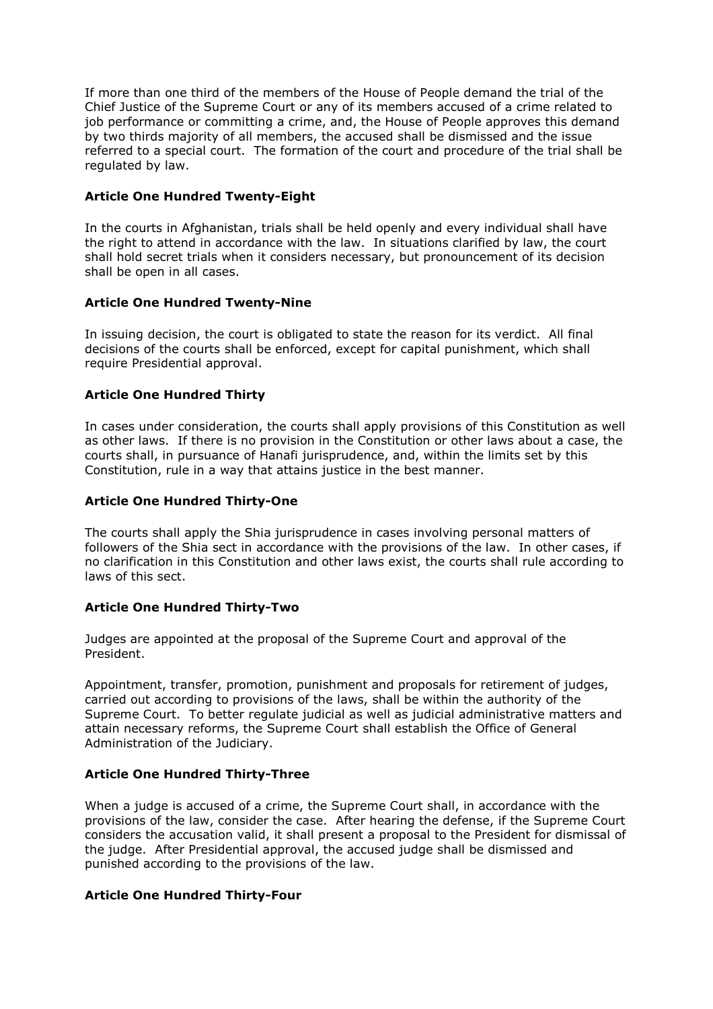If more than one third of the members of the House of People demand the trial of the Chief Justice of the Supreme Court or any of its members accused of a crime related to job performance or committing a crime, and, the House of People approves this demand by two thirds majority of all members, the accused shall be dismissed and the issue referred to a special court. The formation of the court and procedure of the trial shall be regulated by law.

### Article One Hundred Twenty-Eight

In the courts in Afghanistan, trials shall be held openly and every individual shall have the right to attend in accordance with the law. In situations clarified by law, the court shall hold secret trials when it considers necessary, but pronouncement of its decision shall be open in all cases.

### Article One Hundred Twenty-Nine

In issuing decision, the court is obligated to state the reason for its verdict. All final decisions of the courts shall be enforced, except for capital punishment, which shall require Presidential approval.

# Article One Hundred Thirty

In cases under consideration, the courts shall apply provisions of this Constitution as well as other laws. If there is no provision in the Constitution or other laws about a case, the courts shall, in pursuance of Hanafi jurisprudence, and, within the limits set by this Constitution, rule in a way that attains justice in the best manner.

# Article One Hundred Thirty-One

The courts shall apply the Shia jurisprudence in cases involving personal matters of followers of the Shia sect in accordance with the provisions of the law. In other cases, if no clarification in this Constitution and other laws exist, the courts shall rule according to laws of this sect.

# Article One Hundred Thirty-Two

Judges are appointed at the proposal of the Supreme Court and approval of the President.

Appointment, transfer, promotion, punishment and proposals for retirement of judges, carried out according to provisions of the laws, shall be within the authority of the Supreme Court. To better regulate judicial as well as judicial administrative matters and attain necessary reforms, the Supreme Court shall establish the Office of General Administration of the Judiciary.

# Article One Hundred Thirty-Three

When a judge is accused of a crime, the Supreme Court shall, in accordance with the provisions of the law, consider the case. After hearing the defense, if the Supreme Court considers the accusation valid, it shall present a proposal to the President for dismissal of the judge. After Presidential approval, the accused judge shall be dismissed and punished according to the provisions of the law.

### Article One Hundred Thirty-Four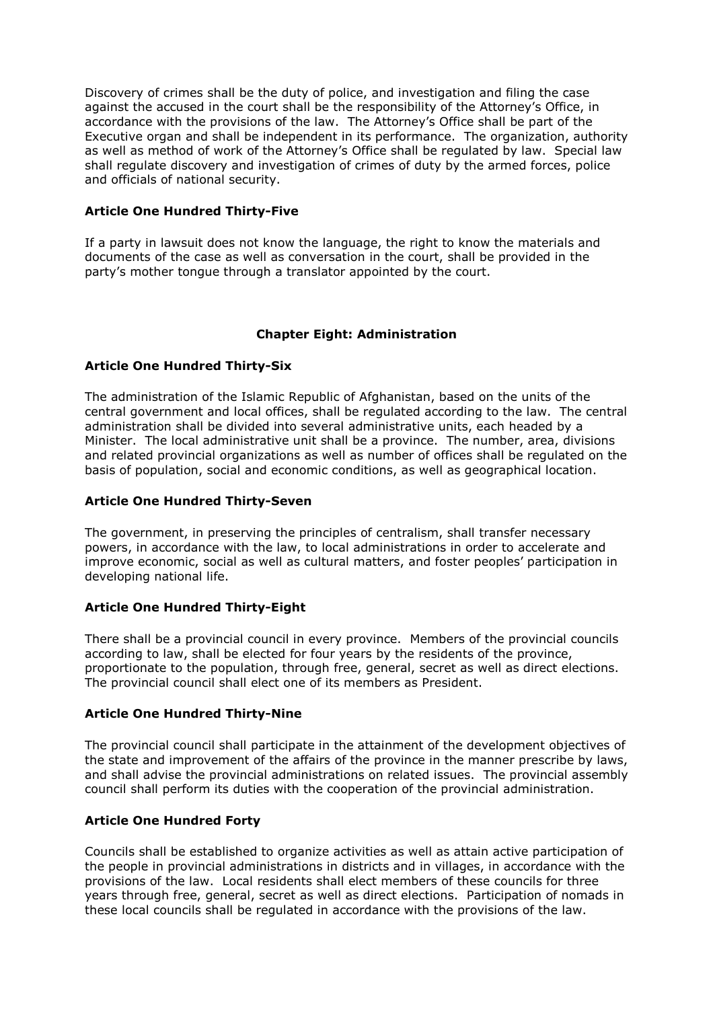Discovery of crimes shall be the duty of police, and investigation and filing the case against the accused in the court shall be the responsibility of the Attorney's Office, in accordance with the provisions of the law. The Attorney's Office shall be part of the Executive organ and shall be independent in its performance. The organization, authority as well as method of work of the Attorney's Office shall be regulated by law. Special law shall regulate discovery and investigation of crimes of duty by the armed forces, police and officials of national security.

# Article One Hundred Thirty-Five

If a party in lawsuit does not know the language, the right to know the materials and documents of the case as well as conversation in the court, shall be provided in the party's mother tongue through a translator appointed by the court.

# Chapter Eight: Administration

### Article One Hundred Thirty-Six

The administration of the Islamic Republic of Afghanistan, based on the units of the central government and local offices, shall be regulated according to the law. The central administration shall be divided into several administrative units, each headed by a Minister. The local administrative unit shall be a province. The number, area, divisions and related provincial organizations as well as number of offices shall be regulated on the basis of population, social and economic conditions, as well as geographical location.

### Article One Hundred Thirty-Seven

The government, in preserving the principles of centralism, shall transfer necessary powers, in accordance with the law, to local administrations in order to accelerate and improve economic, social as well as cultural matters, and foster peoples' participation in developing national life.

### Article One Hundred Thirty-Eight

There shall be a provincial council in every province. Members of the provincial councils according to law, shall be elected for four years by the residents of the province, proportionate to the population, through free, general, secret as well as direct elections. The provincial council shall elect one of its members as President.

### Article One Hundred Thirty-Nine

The provincial council shall participate in the attainment of the development objectives of the state and improvement of the affairs of the province in the manner prescribe by laws, and shall advise the provincial administrations on related issues. The provincial assembly council shall perform its duties with the cooperation of the provincial administration.

# Article One Hundred Forty

Councils shall be established to organize activities as well as attain active participation of the people in provincial administrations in districts and in villages, in accordance with the provisions of the law. Local residents shall elect members of these councils for three years through free, general, secret as well as direct elections. Participation of nomads in these local councils shall be regulated in accordance with the provisions of the law.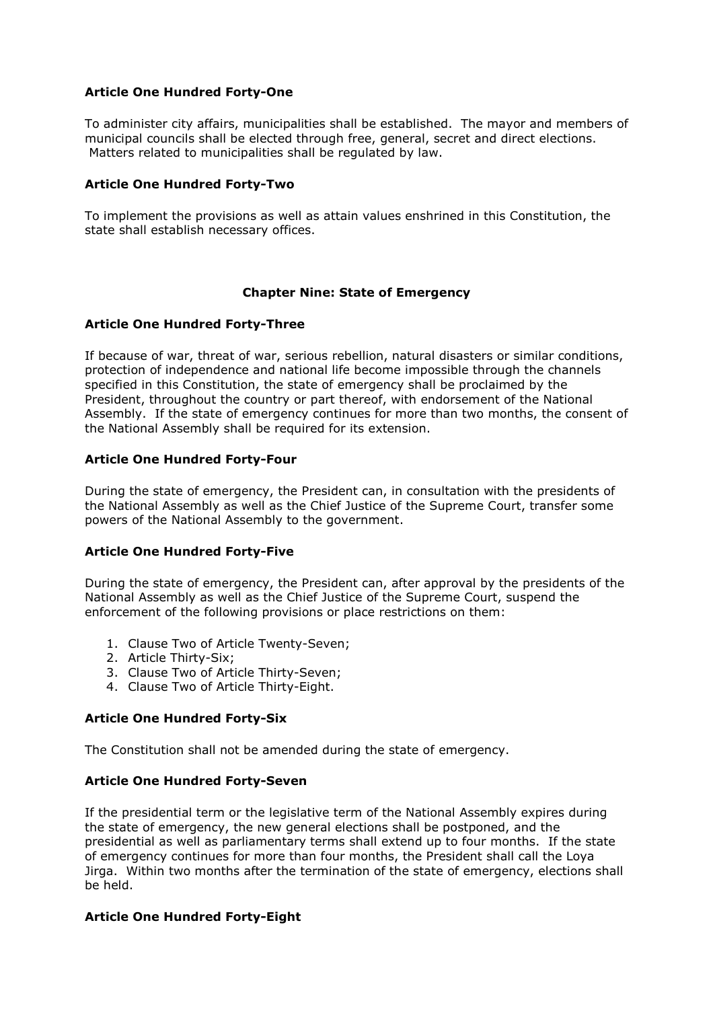### Article One Hundred Forty-One

To administer city affairs, municipalities shall be established. The mayor and members of municipal councils shall be elected through free, general, secret and direct elections. Matters related to municipalities shall be regulated by law.

### Article One Hundred Forty-Two

To implement the provisions as well as attain values enshrined in this Constitution, the state shall establish necessary offices.

### Chapter Nine: State of Emergency

### Article One Hundred Forty-Three

If because of war, threat of war, serious rebellion, natural disasters or similar conditions, protection of independence and national life become impossible through the channels specified in this Constitution, the state of emergency shall be proclaimed by the President, throughout the country or part thereof, with endorsement of the National Assembly. If the state of emergency continues for more than two months, the consent of the National Assembly shall be required for its extension.

### Article One Hundred Forty-Four

During the state of emergency, the President can, in consultation with the presidents of the National Assembly as well as the Chief Justice of the Supreme Court, transfer some powers of the National Assembly to the government.

### Article One Hundred Forty-Five

During the state of emergency, the President can, after approval by the presidents of the National Assembly as well as the Chief Justice of the Supreme Court, suspend the enforcement of the following provisions or place restrictions on them:

- 1. Clause Two of Article Twenty-Seven;
- 2. Article Thirty-Six;
- 3. Clause Two of Article Thirty-Seven;
- 4. Clause Two of Article Thirty-Eight.

# Article One Hundred Forty-Six

The Constitution shall not be amended during the state of emergency.

### Article One Hundred Forty-Seven

If the presidential term or the legislative term of the National Assembly expires during the state of emergency, the new general elections shall be postponed, and the presidential as well as parliamentary terms shall extend up to four months. If the state of emergency continues for more than four months, the President shall call the Loya Jirga. Within two months after the termination of the state of emergency, elections shall be held.

### Article One Hundred Forty-Eight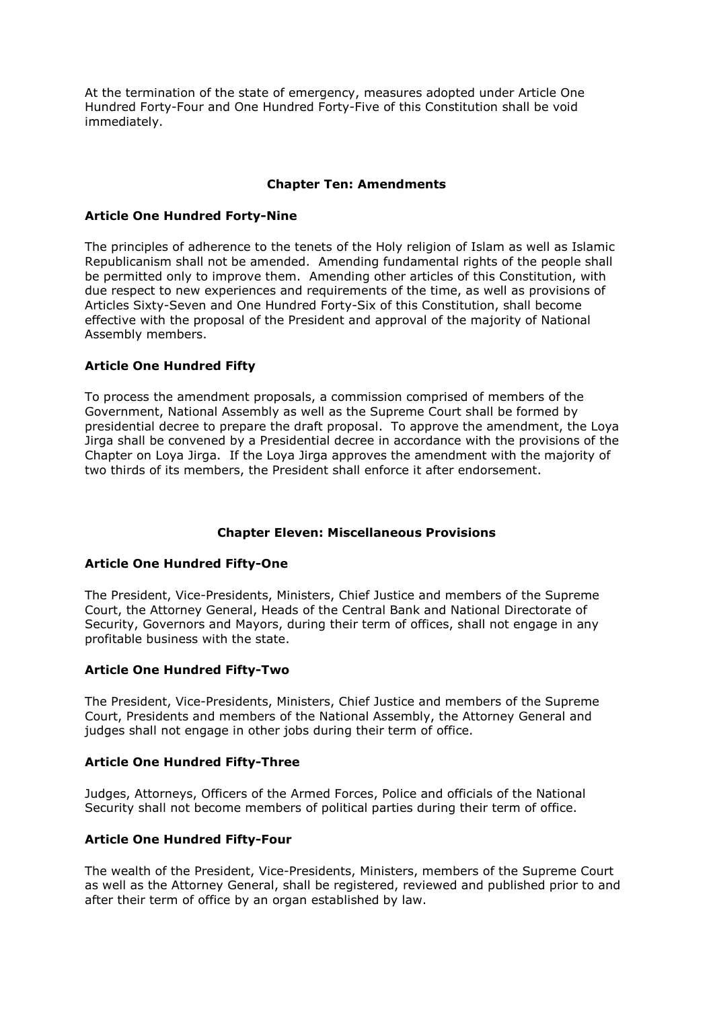At the termination of the state of emergency, measures adopted under Article One Hundred Forty-Four and One Hundred Forty-Five of this Constitution shall be void immediately.

### Chapter Ten: Amendments

### Article One Hundred Forty-Nine

The principles of adherence to the tenets of the Holy religion of Islam as well as Islamic Republicanism shall not be amended. Amending fundamental rights of the people shall be permitted only to improve them. Amending other articles of this Constitution, with due respect to new experiences and requirements of the time, as well as provisions of Articles Sixty-Seven and One Hundred Forty-Six of this Constitution, shall become effective with the proposal of the President and approval of the majority of National Assembly members.

# Article One Hundred Fifty

To process the amendment proposals, a commission comprised of members of the Government, National Assembly as well as the Supreme Court shall be formed by presidential decree to prepare the draft proposal. To approve the amendment, the Loya Jirga shall be convened by a Presidential decree in accordance with the provisions of the Chapter on Loya Jirga. If the Loya Jirga approves the amendment with the majority of two thirds of its members, the President shall enforce it after endorsement.

# Chapter Eleven: Miscellaneous Provisions

### Article One Hundred Fifty-One

The President, Vice-Presidents, Ministers, Chief Justice and members of the Supreme Court, the Attorney General, Heads of the Central Bank and National Directorate of Security, Governors and Mayors, during their term of offices, shall not engage in any profitable business with the state.

# Article One Hundred Fifty-Two

The President, Vice-Presidents, Ministers, Chief Justice and members of the Supreme Court, Presidents and members of the National Assembly, the Attorney General and judges shall not engage in other jobs during their term of office.

### Article One Hundred Fifty-Three

Judges, Attorneys, Officers of the Armed Forces, Police and officials of the National Security shall not become members of political parties during their term of office.

# Article One Hundred Fifty-Four

The wealth of the President, Vice-Presidents, Ministers, members of the Supreme Court as well as the Attorney General, shall be registered, reviewed and published prior to and after their term of office by an organ established by law.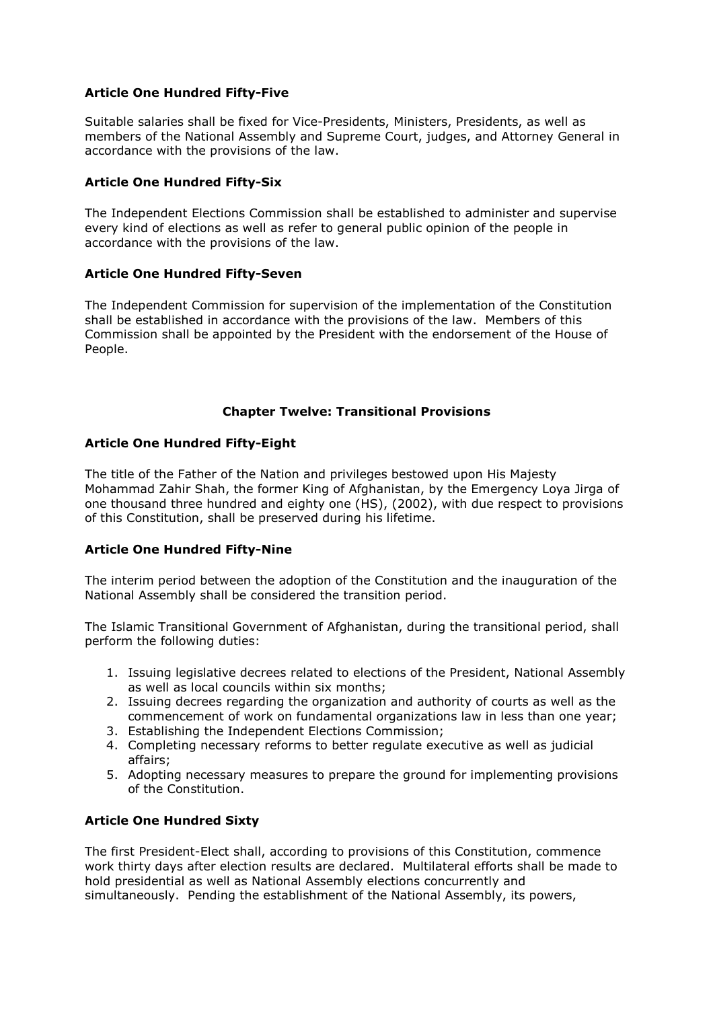# Article One Hundred Fifty-Five

Suitable salaries shall be fixed for Vice-Presidents, Ministers, Presidents, as well as members of the National Assembly and Supreme Court, judges, and Attorney General in accordance with the provisions of the law.

### Article One Hundred Fifty-Six

The Independent Elections Commission shall be established to administer and supervise every kind of elections as well as refer to general public opinion of the people in accordance with the provisions of the law.

### Article One Hundred Fifty-Seven

The Independent Commission for supervision of the implementation of the Constitution shall be established in accordance with the provisions of the law. Members of this Commission shall be appointed by the President with the endorsement of the House of People.

### Chapter Twelve: Transitional Provisions

### Article One Hundred Fifty-Eight

The title of the Father of the Nation and privileges bestowed upon His Majesty Mohammad Zahir Shah, the former King of Afghanistan, by the Emergency Loya Jirga of one thousand three hundred and eighty one (HS), (2002), with due respect to provisions of this Constitution, shall be preserved during his lifetime.

# Article One Hundred Fifty-Nine

The interim period between the adoption of the Constitution and the inauguration of the National Assembly shall be considered the transition period.

The Islamic Transitional Government of Afghanistan, during the transitional period, shall perform the following duties:

- 1. Issuing legislative decrees related to elections of the President, National Assembly as well as local councils within six months;
- 2. Issuing decrees regarding the organization and authority of courts as well as the commencement of work on fundamental organizations law in less than one year;
- 3. Establishing the Independent Elections Commission;
- 4. Completing necessary reforms to better regulate executive as well as judicial affairs;
- 5. Adopting necessary measures to prepare the ground for implementing provisions of the Constitution.

# Article One Hundred Sixty

The first President-Elect shall, according to provisions of this Constitution, commence work thirty days after election results are declared. Multilateral efforts shall be made to hold presidential as well as National Assembly elections concurrently and simultaneously. Pending the establishment of the National Assembly, its powers,